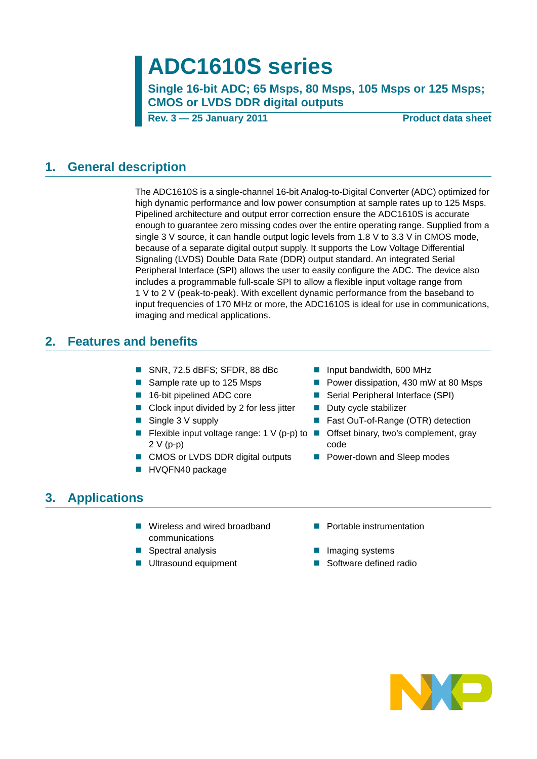# **ADC1610S series**

**Single 16-bit ADC; 65 Msps, 80 Msps, 105 Msps or 125 Msps; CMOS or LVDS DDR digital outputs**

**Rev. 3 – 25 January 2011** Product data sheet

#### <span id="page-0-0"></span>**1. General description**

The ADC1610S is a single-channel 16-bit Analog-to-Digital Converter (ADC) optimized for high dynamic performance and low power consumption at sample rates up to 125 Msps. Pipelined architecture and output error correction ensure the ADC1610S is accurate enough to guarantee zero missing codes over the entire operating range. Supplied from a single 3 V source, it can handle output logic levels from 1.8 V to 3.3 V in CMOS mode, because of a separate digital output supply. It supports the Low Voltage Differential Signaling (LVDS) Double Data Rate (DDR) output standard. An integrated Serial Peripheral Interface (SPI) allows the user to easily configure the ADC. The device also includes a programmable full-scale SPI to allow a flexible input voltage range from 1 V to 2 V (peak-to-peak). With excellent dynamic performance from the baseband to input frequencies of 170 MHz or more, the ADC1610S is ideal for use in communications, imaging and medical applications.

#### <span id="page-0-1"></span>**2. Features and benefits**

- SNR, 72.5 dBFS; SFDR, 88 dBc Input bandwidth, 600 MHz
- 
- 
- Clock input divided by 2 for less jitter  $\Box$  Duty cycle stabilizer
- 
- Flexible input voltage range: 1 V (p-p) to  $\blacksquare$ 2 V (p-p)
- CMOS or LVDS DDR digital outputs Power-down and Sleep modes
- **HVQFN40 package**
- 
- Sample rate up to 125 Msps Power dissipation, 430 mW at 80 Msps
- 16-bit pipelined ADC core Serial Peripheral Interface (SPI)
	-
- Single 3 V supply **Example 1** Fast OuT-of-Range (OTR) detection
	- Offset binary, two's complement, gray code
	-

## <span id="page-0-2"></span>**3. Applications**

- Wireless and wired broadband communications
- 
- 
- **Portable instrumentation**
- **Spectral analysis IMAGE Spectral analysis IMAGE Spectral analysis**
- Ultrasound equipment Software defined radio

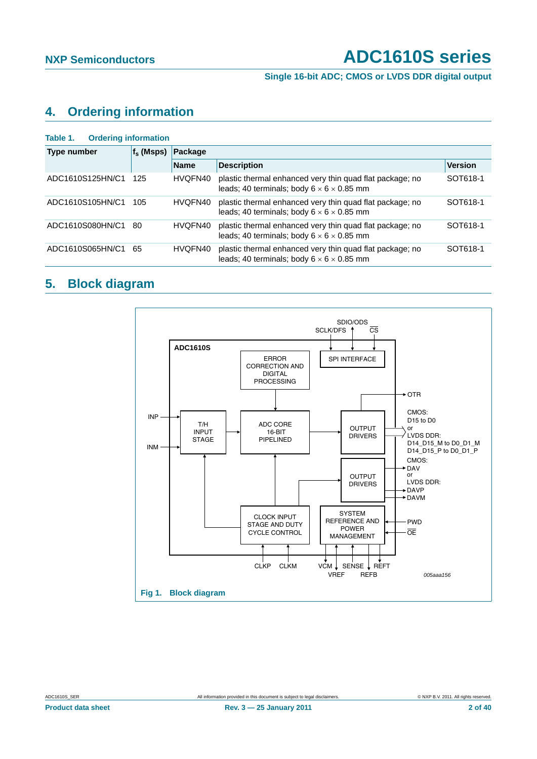**Single 16-bit ADC; CMOS or LVDS DDR digital output**

## <span id="page-1-1"></span>**4. Ordering information**

<span id="page-1-0"></span>

| <b>Ordering information</b><br>Table 1. |              |                                                                                                                                                                                                                                                                                                                                                                                     |                                                                                                                   |                |
|-----------------------------------------|--------------|-------------------------------------------------------------------------------------------------------------------------------------------------------------------------------------------------------------------------------------------------------------------------------------------------------------------------------------------------------------------------------------|-------------------------------------------------------------------------------------------------------------------|----------------|
| Type number                             | $f_s$ (Msps) |                                                                                                                                                                                                                                                                                                                                                                                     |                                                                                                                   |                |
|                                         |              | Package<br><b>Description</b><br><b>Name</b><br>HVQFN40<br>plastic thermal enhanced very thin quad flat package; no<br>leads: 40 terminals: body $6 \times 6 \times 0.85$ mm<br>plastic thermal enhanced very thin quad flat package; no<br>HVQFN40<br>leads; 40 terminals; body $6 \times 6 \times 0.85$ mm<br>plastic thermal enhanced very thin quad flat package; no<br>HVQFN40 |                                                                                                                   | <b>Version</b> |
| ADC1610S125HN/C1                        | 125          |                                                                                                                                                                                                                                                                                                                                                                                     |                                                                                                                   | SOT618-1       |
| ADC1610S105HN/C1                        | 105          |                                                                                                                                                                                                                                                                                                                                                                                     |                                                                                                                   | SOT618-1       |
| ADC1610S080HN/C1                        | 80           |                                                                                                                                                                                                                                                                                                                                                                                     | leads; 40 terminals; body $6 \times 6 \times 0.85$ mm                                                             | SOT618-1       |
| ADC1610S065HN/C1                        | 65           | HVQFN40                                                                                                                                                                                                                                                                                                                                                                             | plastic thermal enhanced very thin quad flat package; no<br>leads: 40 terminals: body $6 \times 6 \times 0.85$ mm | SOT618-1       |

## <span id="page-1-2"></span>**5. Block diagram**



**Product data sheet 2 of 40 Rev. 3 – 25 January 2011** 2 **25 January 2011** 2 of 40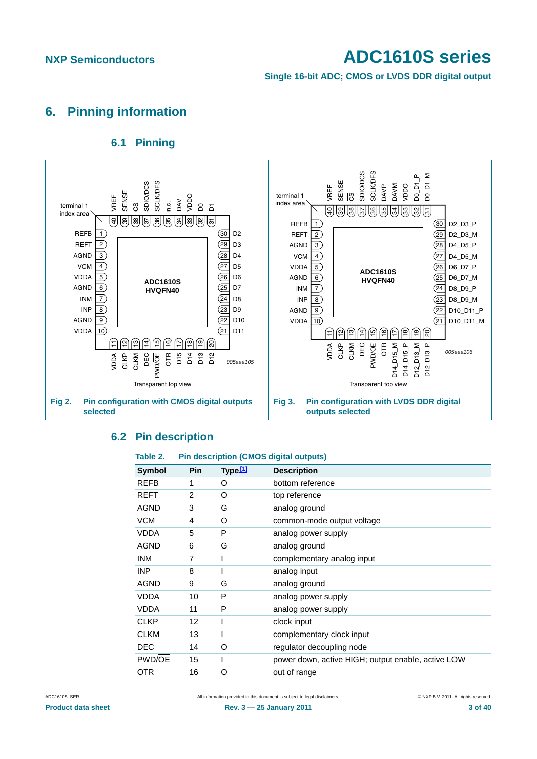**Single 16-bit ADC; CMOS or LVDS DDR digital output**

#### <span id="page-2-1"></span>**6. Pinning information**

#### **6.1 Pinning**

<span id="page-2-2"></span>

#### <span id="page-2-3"></span>**6.2 Pin description**

#### <span id="page-2-0"></span>**Table 2. Pin description (CMOS digital outputs)**

| <b>Symbol</b> | <b>Pin</b> | Type <u>[1]</u> | <b>Description</b>                                 |
|---------------|------------|-----------------|----------------------------------------------------|
| <b>REFB</b>   | 1          | O               | bottom reference                                   |
| <b>REFT</b>   | 2          | O               | top reference                                      |
| <b>AGND</b>   | 3          | G               | analog ground                                      |
| <b>VCM</b>    | 4          | O               | common-mode output voltage                         |
| <b>VDDA</b>   | 5          | P               | analog power supply                                |
| <b>AGND</b>   | 6          | G               | analog ground                                      |
| <b>INM</b>    | 7          |                 | complementary analog input                         |
| <b>INP</b>    | 8          |                 | analog input                                       |
| <b>AGND</b>   | 9          | G               | analog ground                                      |
| <b>VDDA</b>   | 10         | P               | analog power supply                                |
| <b>VDDA</b>   | 11         | P               | analog power supply                                |
| <b>CLKP</b>   | 12         |                 | clock input                                        |
| <b>CLKM</b>   | 13         |                 | complementary clock input                          |
| <b>DEC</b>    | 14         | O               | regulator decoupling node                          |
| PWD/OE        | 15         |                 | power down, active HIGH; output enable, active LOW |
| OTR           | 16         | O               | out of range                                       |

ADC1610S\_SER All information provided in this document is subject to legal disclaimers. 
All information provided in this document is subject to legal disclaimers.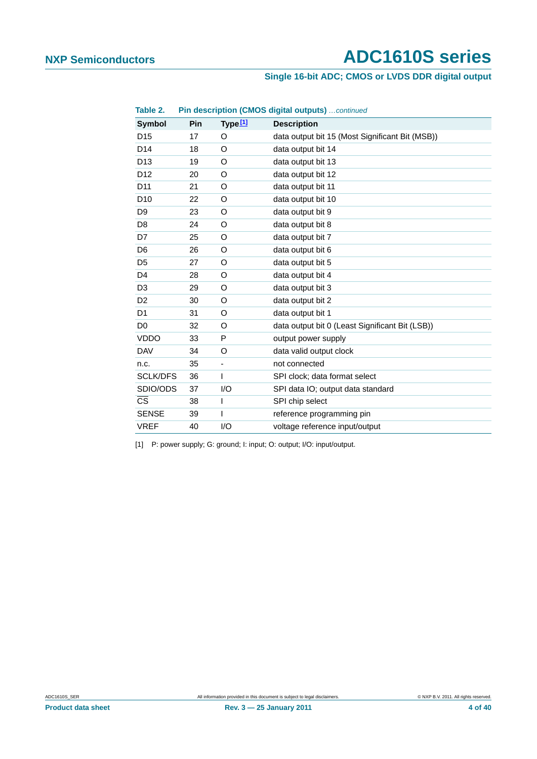#### **Single 16-bit ADC; CMOS or LVDS DDR digital output**

| Table 2.               |     |                     | Pin description (CMOS digital outputs)  continued |
|------------------------|-----|---------------------|---------------------------------------------------|
| <b>Symbol</b>          | Pin | Type <sup>[1]</sup> | <b>Description</b>                                |
| D <sub>15</sub>        | 17  | O                   | data output bit 15 (Most Significant Bit (MSB))   |
| D <sub>14</sub>        | 18  | O                   | data output bit 14                                |
| D <sub>13</sub>        | 19  | O                   | data output bit 13                                |
| D <sub>12</sub>        | 20  | O                   | data output bit 12                                |
| D <sub>11</sub>        | 21  | O                   | data output bit 11                                |
| D <sub>10</sub>        | 22  | O                   | data output bit 10                                |
| D <sub>9</sub>         | 23  | O                   | data output bit 9                                 |
| D <sub>8</sub>         | 24  | O                   | data output bit 8                                 |
| D7                     | 25  | O                   | data output bit 7                                 |
| D <sub>6</sub>         | 26  | O                   | data output bit 6                                 |
| D <sub>5</sub>         | 27  | O                   | data output bit 5                                 |
| D <sub>4</sub>         | 28  | O                   | data output bit 4                                 |
| D <sub>3</sub>         | 29  | O                   | data output bit 3                                 |
| D <sub>2</sub>         | 30  | O                   | data output bit 2                                 |
| D <sub>1</sub>         | 31  | O                   | data output bit 1                                 |
| D <sub>0</sub>         | 32  | O                   | data output bit 0 (Least Significant Bit (LSB))   |
| <b>VDDO</b>            | 33  | P                   | output power supply                               |
| <b>DAV</b>             | 34  | O                   | data valid output clock                           |
| n.c.                   | 35  | -                   | not connected                                     |
| <b>SCLK/DFS</b>        | 36  | $\overline{1}$      | SPI clock; data format select                     |
| SDIO/ODS               | 37  | 1/O                 | SPI data IO; output data standard                 |
| $\overline{\text{cs}}$ | 38  | I                   | SPI chip select                                   |
| <b>SENSE</b>           | 39  | I                   | reference programming pin                         |
| <b>VREF</b>            | 40  | 1/O                 | voltage reference input/output                    |

<span id="page-3-0"></span>[1] P: power supply; G: ground; I: input; O: output; I/O: input/output.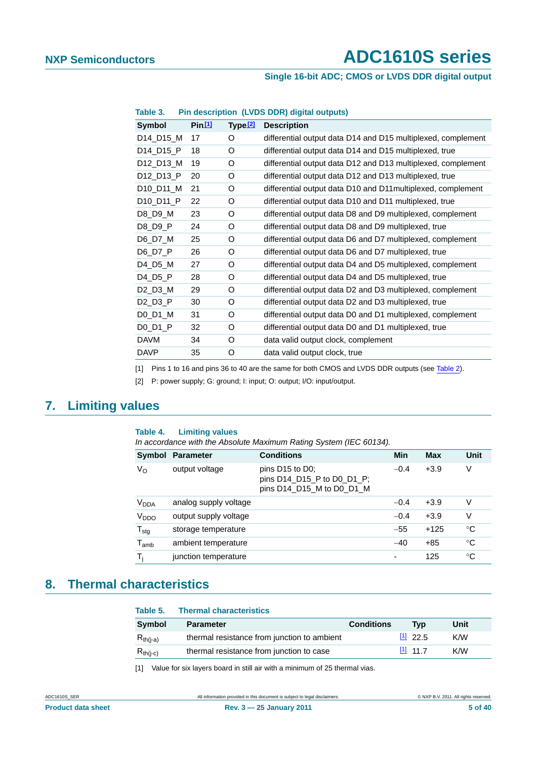#### **Single 16-bit ADC; CMOS or LVDS DDR digital output**

| Table 3.                          |        |                     | Pin description (LVDS DDR) digital outputs)                  |
|-----------------------------------|--------|---------------------|--------------------------------------------------------------|
| <b>Symbol</b>                     | Pin 11 | Type <sup>[2]</sup> | <b>Description</b>                                           |
| D14_D15_M                         | 17     | O                   | differential output data D14 and D15 multiplexed, complement |
| D14 D15 P                         | 18     | O                   | differential output data D14 and D15 multiplexed, true       |
| D12_D13_M                         | 19     | O                   | differential output data D12 and D13 multiplexed, complement |
| D12_D13_P                         | 20     | O                   | differential output data D12 and D13 multiplexed, true       |
| D10_D11_M                         | 21     | O                   | differential output data D10 and D11 multiplexed, complement |
| D <sub>10_D</sub> <sub>11_P</sub> | 22     | O                   | differential output data D10 and D11 multiplexed, true       |
| D8_D9_M                           | 23     | O                   | differential output data D8 and D9 multiplexed, complement   |
| D8 D9 P                           | 24     | O                   | differential output data D8 and D9 multiplexed, true         |
| D6_D7_M                           | 25     | O                   | differential output data D6 and D7 multiplexed, complement   |
| D6_D7_P                           | 26     | O                   | differential output data D6 and D7 multiplexed, true         |
| D4_D5_M                           | 27     | O                   | differential output data D4 and D5 multiplexed, complement   |
| $D4_D5_P$                         | 28     | O                   | differential output data D4 and D5 multiplexed, true         |
| D2_D3_M                           | 29     | O                   | differential output data D2 and D3 multiplexed, complement   |
| $D2_D3_P$                         | 30     | O                   | differential output data D2 and D3 multiplexed, true         |
| $D0_D1_M$                         | 31     | O                   | differential output data D0 and D1 multiplexed, complement   |
| D0 D1 P                           | 32     | O                   | differential output data D0 and D1 multiplexed, true         |
| <b>DAVM</b>                       | 34     | O                   | data valid output clock, complement                          |
| <b>DAVP</b>                       | 35     | O                   | data valid output clock, true                                |

<span id="page-4-0"></span>[1] Pins 1 to 16 and pins 36 to 40 are the same for both CMOS and LVDS DDR outputs (see [Table 2](#page-2-0)).

<span id="page-4-1"></span>[2] P: power supply; G: ground; I: input; O: output; I/O: input/output.

## <span id="page-4-3"></span>**7. Limiting values**

#### **Table 4. Limiting values**

*In accordance with the Absolute Maximum Rating System (IEC 60134).*

|                             | Symbol Parameter      | <b>Conditions</b>                                                                                   | Min    | Max    | Unit        |
|-----------------------------|-----------------------|-----------------------------------------------------------------------------------------------------|--------|--------|-------------|
| $V_{\rm O}$                 | output voltage        | pins D <sub>15</sub> to D <sub>0</sub> ;<br>pins D14_D15_P to D0_D1_P;<br>pins D14_D15_M to D0_D1_M | $-0.4$ | $+3.9$ | V           |
| V <sub>DDA</sub>            | analog supply voltage |                                                                                                     | $-0.4$ | $+3.9$ | V           |
| V <sub>DDO</sub>            | output supply voltage |                                                                                                     | $-0.4$ | $+3.9$ | V           |
| $T_{\text{stg}}$            | storage temperature   |                                                                                                     | $-55$  | $+125$ | °C          |
| $\mathsf{T}_{\mathsf{amb}}$ | ambient temperature   |                                                                                                     | $-40$  | $+85$  | $^{\circ}C$ |
| T,                          | junction temperature  |                                                                                                     | ٠      | 125    | $^{\circ}C$ |

#### <span id="page-4-4"></span>**8. Thermal characteristics**

#### **Table 5. Thermal characteristics**

| <b>Symbol</b>                                            | <b>Parameter</b>                            | <b>Conditions</b> | Tvɒ               | Unit |
|----------------------------------------------------------|---------------------------------------------|-------------------|-------------------|------|
| $\mathsf{R}_{\mathsf{th}(\mathsf{i}\text{-}\mathsf{a})}$ | thermal resistance from junction to ambient |                   | $\frac{11}{22.5}$ | K/M  |
| $\mathsf{R}_{\mathsf{th}(\mathsf{i}\text{-}\mathsf{c})}$ | thermal resistance from junction to case    |                   | $[1]$ 11 7        | K/M  |

<span id="page-4-2"></span>[1] Value for six layers board in still air with a minimum of 25 thermal vias.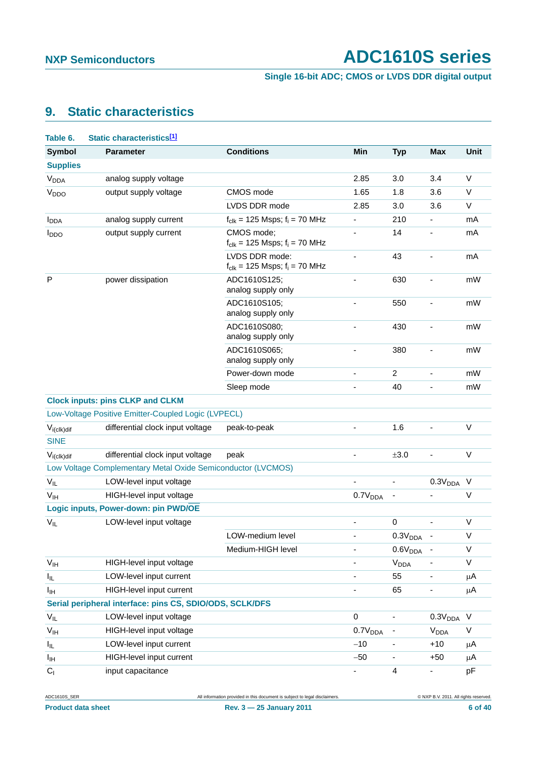**Single 16-bit ADC; CMOS or LVDS DDR digital output**

## <span id="page-5-0"></span>**9. Static characteristics**

| Table 6.                | Static characteristics <sup>[1]</sup>                        |                                                               |                          |                          |                              |              |
|-------------------------|--------------------------------------------------------------|---------------------------------------------------------------|--------------------------|--------------------------|------------------------------|--------------|
| <b>Symbol</b>           | <b>Parameter</b>                                             | <b>Conditions</b>                                             | Min                      | <b>Typ</b>               | <b>Max</b>                   | Unit         |
| <b>Supplies</b>         |                                                              |                                                               |                          |                          |                              |              |
| <b>V<sub>DDA</sub></b>  | analog supply voltage                                        |                                                               | 2.85                     | 3.0                      | 3.4                          | $\vee$       |
| V <sub>DDO</sub>        | output supply voltage                                        | CMOS mode                                                     | 1.65                     | 1.8                      | 3.6                          | $\vee$       |
|                         |                                                              | LVDS DDR mode                                                 | 2.85                     | 3.0                      | 3.6                          | V            |
| <b>I</b> <sub>DDA</sub> | analog supply current                                        | $f_{clk}$ = 125 Msps; $f_i$ = 70 MHz                          |                          | 210                      | $\frac{1}{2}$                | mA           |
| $I_{DDO}$               | output supply current                                        | CMOS mode;<br>$f_{\text{clk}} = 125$ Msps; $f_i = 70$ MHz     |                          | 14                       | ÷                            | mA           |
|                         |                                                              | LVDS DDR mode:<br>$f_{\text{clk}} = 125$ Msps; $f_i = 70$ MHz | $\overline{\phantom{a}}$ | 43                       | ÷                            | mA           |
| P                       | power dissipation                                            | ADC1610S125;<br>analog supply only                            |                          | 630                      |                              | mW           |
|                         |                                                              | ADC1610S105;<br>analog supply only                            |                          | 550                      |                              | mW           |
|                         |                                                              | ADC1610S080:<br>analog supply only                            | $\overline{\phantom{0}}$ | 430                      | ÷                            | mW           |
|                         |                                                              | ADC1610S065;<br>analog supply only                            |                          | 380                      |                              | mW           |
|                         |                                                              | Power-down mode                                               |                          | $\overline{c}$           | ÷                            | mW           |
|                         |                                                              | Sleep mode                                                    |                          | 40                       | ä,                           | mW           |
|                         | <b>Clock inputs: pins CLKP and CLKM</b>                      |                                                               |                          |                          |                              |              |
|                         | Low-Voltage Positive Emitter-Coupled Logic (LVPECL)          |                                                               |                          |                          |                              |              |
| $V_{i (c I k) dif}$     | differential clock input voltage                             | peak-to-peak                                                  |                          | 1.6                      | ÷                            | V            |
| <b>SINE</b>             |                                                              |                                                               |                          |                          |                              |              |
| $V_{i (c I k) dif}$     | differential clock input voltage                             | peak                                                          |                          | ±3.0                     | ÷,                           | V            |
|                         | Low Voltage Complementary Metal Oxide Semiconductor (LVCMOS) |                                                               |                          |                          |                              |              |
| $V_{IL}$                | LOW-level input voltage                                      |                                                               |                          | $\overline{\phantom{a}}$ | 0.3V <sub>DDA</sub>          | $\vee$       |
| V <sub>IH</sub>         | HIGH-level input voltage                                     |                                                               | 0.7V <sub>DDA</sub>      | -                        |                              | $\vee$       |
|                         | Logic inputs, Power-down: pin PWD/OE                         |                                                               |                          |                          |                              |              |
| $V_{IL}$                | LOW-level input voltage                                      |                                                               |                          | 0                        |                              | $\vee$       |
|                         |                                                              | LOW-medium level                                              |                          | 0.3V <sub>DDA</sub>      |                              | V            |
|                         |                                                              | Medium-HIGH level                                             |                          | 0.6V <sub>DDA</sub>      | $\overline{\phantom{a}}$     | $\vee$       |
| V <sub>IH</sub>         | HIGH-level input voltage                                     |                                                               |                          | <b>V<sub>DDA</sub></b>   | -                            | V            |
| $I_{IL}$                | LOW-level input current                                      |                                                               |                          | 55                       | $\qquad \qquad \blacksquare$ | $\mu$ A      |
| Iщ                      | HIGH-level input current                                     |                                                               |                          | 65                       |                              | μA           |
|                         | Serial peripheral interface: pins CS, SDIO/ODS, SCLK/DFS     |                                                               |                          |                          |                              |              |
| $V_{IL}$                | LOW-level input voltage                                      |                                                               | 0                        | $\overline{\phantom{a}}$ | 0.3V <sub>DDA</sub>          | V            |
| V <sub>IH</sub>         | HIGH-level input voltage                                     |                                                               | 0.7V <sub>DDA</sub>      | $\overline{\phantom{0}}$ | <b>V<sub>DDA</sub></b>       | $\mathsf{V}$ |
| I <sub>IL</sub>         | LOW-level input current                                      |                                                               | $-10$                    | ۰                        | $+10$                        | μA           |
| Iщ                      | HIGH-level input current                                     |                                                               | $-50$                    | -                        | $+50$                        | μA           |
| C <sub>1</sub>          | input capacitance                                            |                                                               | ۰                        | 4                        | $\qquad \qquad \blacksquare$ | pF           |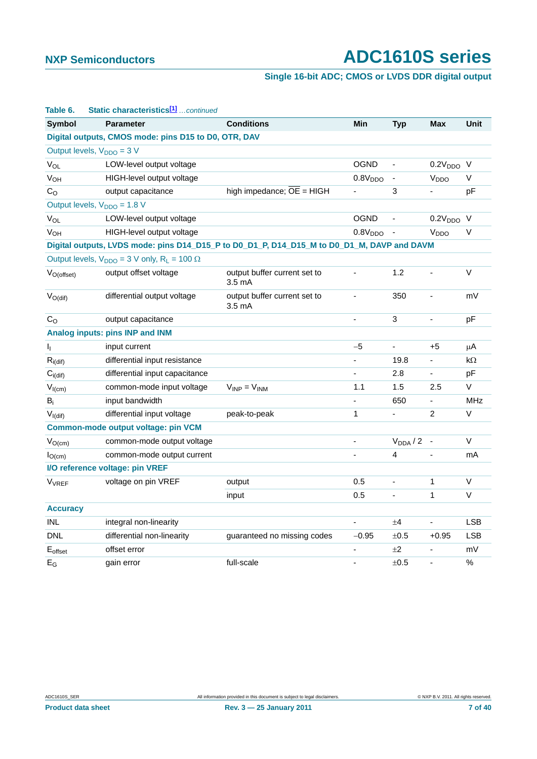#### **Single 16-bit ADC; CMOS or LVDS DDR digital output**

| Table 6.                       | Static characteristics <sup>[1]</sup> continued                                            |                                                  |                     |                          |                              |             |
|--------------------------------|--------------------------------------------------------------------------------------------|--------------------------------------------------|---------------------|--------------------------|------------------------------|-------------|
| <b>Symbol</b>                  | <b>Parameter</b>                                                                           | <b>Conditions</b>                                | Min                 | <b>Typ</b>               | <b>Max</b>                   | <b>Unit</b> |
|                                | Digital outputs, CMOS mode: pins D15 to D0, OTR, DAV                                       |                                                  |                     |                          |                              |             |
|                                | Output levels, $V_{DDO} = 3 V$                                                             |                                                  |                     |                          |                              |             |
| $V_{OL}$                       | LOW-level output voltage                                                                   |                                                  | <b>OGND</b>         | $\blacksquare$           | $0.2VDDO$ V                  |             |
| <b>V<sub>OH</sub></b>          | HIGH-level output voltage                                                                  |                                                  | 0.8V <sub>DDO</sub> | $\overline{\phantom{a}}$ | V <sub>DDO</sub>             | V           |
| $\mathrm{C}_\mathrm{O}$        | output capacitance                                                                         | high impedance; $\overline{OE}$ = HIGH           |                     | 3                        | ÷,                           | рF          |
|                                | Output levels, $V_{DDO} = 1.8 V$                                                           |                                                  |                     |                          |                              |             |
| <b>V<sub>OL</sub></b>          | LOW-level output voltage                                                                   |                                                  | <b>OGND</b>         | ÷,                       | $0.2VDDO$ V                  |             |
| <b>V<sub>OH</sub></b>          | HIGH-level output voltage                                                                  |                                                  | 0.8V <sub>DDO</sub> | $\overline{\phantom{m}}$ | V <sub>DDO</sub>             | V           |
|                                | Digital outputs, LVDS mode: pins D14_D15_P to D0_D1_P, D14_D15_M to D0_D1_M, DAVP and DAVM |                                                  |                     |                          |                              |             |
|                                | Output levels, $V_{DDO} = 3$ V only, $R_L = 100 \Omega$                                    |                                                  |                     |                          |                              |             |
| $V_{O(offset)}$                | output offset voltage                                                                      | output buffer current set to<br>$3.5 \text{ mA}$ | ÷,                  | 1.2                      | $\blacksquare$               | V           |
| $V_{O(di)}$                    | differential output voltage                                                                | output buffer current set to<br>$3.5 \text{ mA}$ | $\blacksquare$      | 350                      | $\blacksquare$               | mV          |
| C <sub>O</sub>                 | output capacitance                                                                         |                                                  | ÷,                  | 3                        | $\overline{\phantom{a}}$     | pF          |
|                                | Analog inputs: pins INP and INM                                                            |                                                  |                     |                          |                              |             |
| Ij.                            | input current                                                                              |                                                  | $-5$                | ÷,                       | $+5$                         | μA          |
| $R_{i\left(\text{dif}\right)}$ | differential input resistance                                                              |                                                  |                     | 19.8                     |                              | kΩ          |
| $C_{i(\text{dif})}$            | differential input capacitance                                                             |                                                  |                     | 2.8                      | $\qquad \qquad \blacksquare$ | pF          |
| $V_{I(cm)}$                    | common-mode input voltage                                                                  | $V_{INP} = V_{INM}$                              | 1.1                 | 1.5                      | 2.5                          | V           |
| $B_i$                          | input bandwidth                                                                            |                                                  | $\blacksquare$      | 650                      | $\blacksquare$               | <b>MHz</b>  |
| $V_{I(di)}$                    | differential input voltage                                                                 | peak-to-peak                                     | 1                   | ÷,                       | $\overline{2}$               | $\vee$      |
|                                | Common-mode output voltage: pin VCM                                                        |                                                  |                     |                          |                              |             |
| $V_{O(cm)}$                    | common-mode output voltage                                                                 |                                                  |                     | $V_{DDA}$ / 2            |                              | V           |
| $I_{O(cm)}$                    | common-mode output current                                                                 |                                                  |                     | 4                        | $\overline{\phantom{a}}$     | mA          |
|                                | I/O reference voltage: pin VREF                                                            |                                                  |                     |                          |                              |             |
| V <sub>VREF</sub>              | voltage on pin VREF                                                                        | output                                           | 0.5                 | $\overline{\phantom{0}}$ | 1                            | V           |
|                                |                                                                                            | input                                            | 0.5                 | ÷,                       | $\mathbf{1}$                 | V           |
| <b>Accuracy</b>                |                                                                                            |                                                  |                     |                          |                              |             |
| <b>INL</b>                     | integral non-linearity                                                                     |                                                  |                     | ±4                       |                              | <b>LSB</b>  |
| <b>DNL</b>                     | differential non-linearity                                                                 | guaranteed no missing codes                      | $-0.95$             | ±0.5                     | $+0.95$                      | LSB         |
| $E_{offset}$                   | offset error                                                                               |                                                  |                     | ±2                       |                              | mV          |
| $E_G$                          | gain error                                                                                 | full-scale                                       |                     | ±0.5                     | $\blacksquare$               | $\%$        |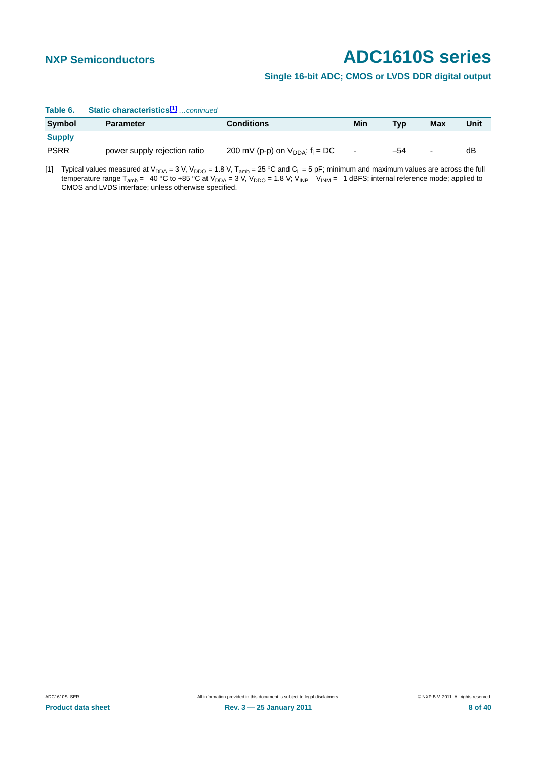#### **Single 16-bit ADC; CMOS or LVDS DDR digital output**

| Table 6.      | Static characteristics <sup>[1]</sup> continued |                                        |                          |            |                          |      |
|---------------|-------------------------------------------------|----------------------------------------|--------------------------|------------|--------------------------|------|
| Symbol        | <b>Parameter</b>                                | <b>Conditions</b>                      | Min                      | <b>Typ</b> | Max                      | Unit |
| <b>Supply</b> |                                                 |                                        |                          |            |                          |      |
| <b>PSRR</b>   | power supply rejection ratio                    | 200 mV (p-p) on $V_{DDA}$ ; $f_i = DC$ | $\overline{\phantom{a}}$ | $-54$      | $\overline{\phantom{a}}$ | dВ   |

#### **Table 6. Static characteristics[1]** *…continued*

<span id="page-7-0"></span>[1] Typical values measured at V<sub>DDA</sub> = 3 V, V<sub>DDO</sub> = 1.8 V, T<sub>amb</sub> = 25 °C and C<sub>L</sub> = 5 pF; minimum and maximum values are across the full temperature range T<sub>amb</sub> = −40 °C to +85 °C at V<sub>DDA</sub> = 3 V, V<sub>DDO</sub> = 1.8 V; V<sub>INP</sub> − V<sub>INM</sub> = −1 dBFS; internal reference mode; applied to CMOS and LVDS interface; unless otherwise specified.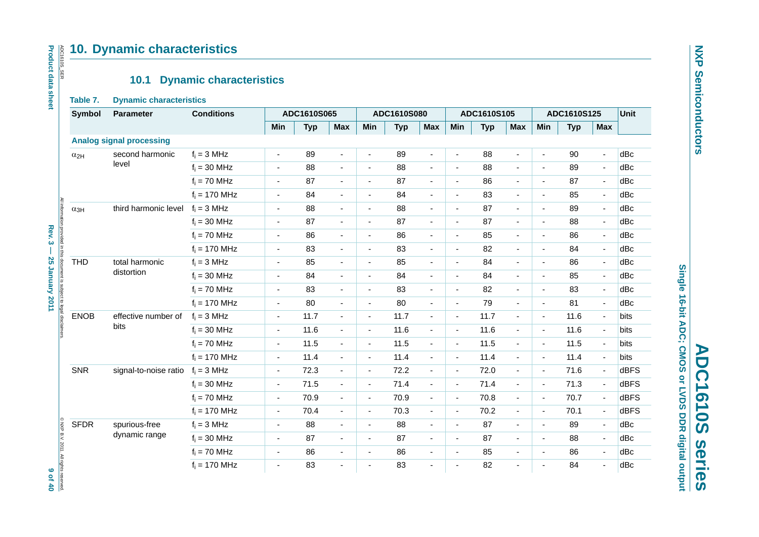#### **10. Dynamic characteristics**

#### **10.1 Dynamic characteristics**

#### **Table 7. Dynamic characteristics**

|               | 10.1                            | <b>Dynamic characteristics</b> |                          |             |                          |                          |             |                          |                          |             |                          |                          |             |                          |             |
|---------------|---------------------------------|--------------------------------|--------------------------|-------------|--------------------------|--------------------------|-------------|--------------------------|--------------------------|-------------|--------------------------|--------------------------|-------------|--------------------------|-------------|
| Table 7.      | <b>Dynamic characteristics</b>  |                                |                          |             |                          |                          |             |                          |                          |             |                          |                          |             |                          |             |
| <b>Symbol</b> | <b>Parameter</b>                | <b>Conditions</b>              |                          | ADC1610S065 |                          |                          | ADC1610S080 |                          |                          | ADC1610S105 |                          |                          | ADC1610S125 |                          | Unit        |
|               |                                 |                                | Min                      | <b>Typ</b>  | <b>Max</b>               | Min                      | <b>Typ</b>  | <b>Max</b>               | Min                      | <b>Typ</b>  | <b>Max</b>               | Min                      | <b>Typ</b>  | <b>Max</b>               |             |
|               | <b>Analog signal processing</b> |                                |                          |             |                          |                          |             |                          |                          |             |                          |                          |             |                          |             |
| $\alpha_{2H}$ | second harmonic                 | $f_i = 3 MHz$                  | $\blacksquare$           | 89          | $\blacksquare$           | $\blacksquare$           | 89          | ä,                       | $\blacksquare$           | 88          | $\blacksquare$           | $\blacksquare$           | 90          | ä,                       | dBc         |
|               | level                           | $f_i = 30$ MHz                 | $\overline{\phantom{a}}$ | 88          | $\overline{\phantom{a}}$ | $\blacksquare$           | 88          | $\blacksquare$           | $\blacksquare$           | 88          | $\blacksquare$           | $\blacksquare$           | 89          | $\blacksquare$           | dBc         |
|               |                                 | $f_i = 70$ MHz                 | $\sim$                   | 87          | $\blacksquare$           | $\blacksquare$           | 87          | $\blacksquare$           | $\sim$                   | 86          | $\blacksquare$           | $\blacksquare$           | 87          | $\overline{\phantom{a}}$ | dBc         |
|               |                                 | $f_i = 170$ MHz                | $\blacksquare$           | 84          | $\blacksquare$           | $\blacksquare$           | 84          | $\blacksquare$           | $\blacksquare$           | 83          | $\blacksquare$           | ÷,                       | 85          | $\blacksquare$           | dBc         |
| $\alpha_{3H}$ | third harmonic level            | $f_i = 3 MHz$                  | $\overline{\phantom{a}}$ | 88          | $\overline{\phantom{a}}$ | $\blacksquare$           | 88          | $\overline{\phantom{a}}$ | $\blacksquare$           | 87          | $\blacksquare$           | $\blacksquare$           | 89          | $\blacksquare$           | dBc         |
|               |                                 | $f_i = 30$ MHz                 | $\sim$                   | 87          | $\overline{\phantom{a}}$ | $\blacksquare$           | 87          | ÷.                       | $\sim$                   | 87          | $\blacksquare$           | $\sim$                   | 88          | ä,                       | dBc         |
|               |                                 | $f_i = 70$ MHz                 | $\sim$                   | 86          | $\blacksquare$           | $\blacksquare$           | 86          | $\blacksquare$           | $\blacksquare$           | 85          | $\blacksquare$           | $\tilde{\phantom{a}}$    | 86          | $\blacksquare$           | dBc         |
|               |                                 | $f_i = 170$ MHz                | ÷,                       | 83          | $\overline{\phantom{a}}$ | $\overline{a}$           | 83          | $\overline{a}$           | ä,                       | 82          | $\blacksquare$           | $\sim$                   | 84          | $\blacksquare$           | dBc         |
| <b>THD</b>    | total harmonic                  | $f_i = 3 MHz$                  | $\blacksquare$           | 85          | $\overline{\phantom{a}}$ | $\overline{\phantom{a}}$ | 85          | $\blacksquare$           | $\blacksquare$           | 84          | $\overline{\phantom{a}}$ | $\blacksquare$           | 86          | $\blacksquare$           | dBc         |
|               | distortion                      | $f_i = 30$ MHz                 | $\blacksquare$           | 84          | $\overline{\phantom{a}}$ | $\blacksquare$           | 84          | ÷.                       | $\blacksquare$           | 84          | $\blacksquare$           | $\blacksquare$           | 85          | $\blacksquare$           | dBc         |
|               |                                 | $f_i = 70$ MHz                 | $\blacksquare$           | 83          | $\overline{\phantom{a}}$ | $\blacksquare$           | 83          | ÷.                       | $\blacksquare$           | 82          | $\blacksquare$           | $\overline{\phantom{a}}$ | 83          | ä,                       | dBc         |
|               |                                 | $f_i = 170$ MHz                | $\blacksquare$           | 80          | $\overline{\phantom{a}}$ | $\blacksquare$           | 80          | $\blacksquare$           | $\blacksquare$           | 79          | $\blacksquare$           | $\blacksquare$           | 81          | $\blacksquare$           | dBc         |
| <b>ENOB</b>   | effective number of             | $f_i = 3 MHz$                  | $\blacksquare$           | 11.7        | $\overline{\phantom{a}}$ | $\blacksquare$           | 11.7        | ÷.                       | $\blacksquare$           | 11.7        | $\blacksquare$           | ÷,                       | 11.6        | $\blacksquare$           | bits        |
|               | bits                            | $f_i = 30$ MHz                 | $\blacksquare$           | 11.6        | $\overline{\phantom{a}}$ | $\blacksquare$           | 11.6        | $\blacksquare$           | $\blacksquare$           | 11.6        | $\blacksquare$           | $\blacksquare$           | 11.6        | $\blacksquare$           | bits        |
|               |                                 | $f_i = 70$ MHz                 | $\overline{\phantom{a}}$ | 11.5        | $\overline{\phantom{a}}$ | $\blacksquare$           | 11.5        | ÷.                       | $\blacksquare$           | 11.5        | $\blacksquare$           | $\sim$                   | 11.5        | $\blacksquare$           | bits        |
|               |                                 | $f_i = 170$ MHz                | $\overline{\phantom{a}}$ | 11.4        | $\overline{\phantom{a}}$ | $\blacksquare$           | 11.4        | $\blacksquare$           | $\blacksquare$           | 11.4        | $\blacksquare$           | $\blacksquare$           | 11.4        | $\blacksquare$           | bits        |
| <b>SNR</b>    | signal-to-noise ratio           | $f_i = 3 MHz$                  | $\blacksquare$           | 72.3        | $\blacksquare$           | $\blacksquare$           | 72.2        | $\blacksquare$           | $\blacksquare$           | 72.0        | $\blacksquare$           | $\blacksquare$           | 71.6        | $\blacksquare$           | dBFS        |
|               |                                 | $f_i = 30$ MHz                 | $\blacksquare$           | 71.5        | $\blacksquare$           | $\blacksquare$           | 71.4        | $\blacksquare$           | $\blacksquare$           | 71.4        | $\blacksquare$           | $\sim$                   | 71.3        | $\blacksquare$           | <b>dBFS</b> |
|               |                                 | $f_i = 70$ MHz                 | $\overline{\phantom{a}}$ | 70.9        | $\blacksquare$           | $\blacksquare$           | 70.9        | ÷.                       | $\blacksquare$           | 70.8        | $\blacksquare$           | $\sim$                   | 70.7        | $\blacksquare$           | dBFS        |
|               |                                 | $f_i = 170$ MHz                | $\overline{\phantom{a}}$ | 70.4        | $\blacksquare$           | $\blacksquare$           | 70.3        | $\blacksquare$           | $\blacksquare$           | 70.2        | $\blacksquare$           | $\blacksquare$           | 70.1        | $\blacksquare$           | dBFS        |
| <b>SFDR</b>   | spurious-free                   | $f_i = 3 MHz$                  | $\blacksquare$           | 88          | $\overline{\phantom{a}}$ | $\blacksquare$           | 88          | ÷.                       | $\blacksquare$           | 87          | $\blacksquare$           | $\blacksquare$           | 89          | ÷.                       | dBc         |
|               | dynamic range                   | $f_i = 30$ MHz                 | $\blacksquare$           | 87          | $\overline{\phantom{a}}$ | $\blacksquare$           | 87          | $\blacksquare$           | $\blacksquare$           | 87          | $\blacksquare$           | $\blacksquare$           | 88          | ä,                       | dBc         |
|               |                                 | $f_i = 70$ MHz                 | $\overline{\phantom{a}}$ | 86          | $\overline{\phantom{a}}$ | $\blacksquare$           | 86          | $\blacksquare$           | $\blacksquare$           | 85          | $\blacksquare$           | ÷,                       | 86          | $\overline{\phantom{a}}$ | dBc         |
|               |                                 | $f_i = 170$ MHz                | ÷,                       | 83          | $\blacksquare$           | ÷,                       | 83          | $\blacksquare$           | $\overline{\phantom{a}}$ | 82          | $\blacksquare$           |                          | 84          | $\blacksquare$           | dBc         |

**NXP Semiconductors NXP Semiconductors**

Single 16-bit ADC; CMOS or LVDS DDR digital output **Single 16-bit ADC; CMOS or LVDS DDR digital output ADC1610S series ADC1610S series**

# **Product data sheet Product data sheet Rev. 3 — 25 January 2011 1201 9 - 25 January 2011 1201 9 - 25 January 2014 1201 9 - 25 January 2014 1201 9 - 26 January 2012** ADC1610S\_SER

Rev. 3  $\mathbf{I}$ 

**25 January 2011** 

<span id="page-8-1"></span><span id="page-8-0"></span>**bus reserved.**<br>9 of 40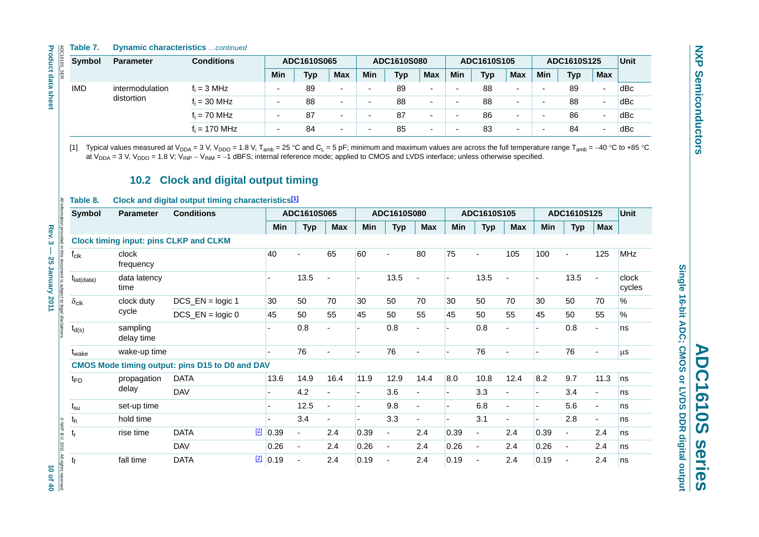#### **Table 7. Dynamic characteristics** *…continued*

| Symbol                 | <b>Parameter</b>       | <b>Conditions</b>                                                                                                                                                                                                                                                                                                                                                                                                                                                                                                   |                       | ADC1610S065    |                          |                          | ADC1610S080              |                          |                       | ADC1610S105              |                | ADC1610S125    | <b>Unit</b>    |                |                 |
|------------------------|------------------------|---------------------------------------------------------------------------------------------------------------------------------------------------------------------------------------------------------------------------------------------------------------------------------------------------------------------------------------------------------------------------------------------------------------------------------------------------------------------------------------------------------------------|-----------------------|----------------|--------------------------|--------------------------|--------------------------|--------------------------|-----------------------|--------------------------|----------------|----------------|----------------|----------------|-----------------|
|                        |                        |                                                                                                                                                                                                                                                                                                                                                                                                                                                                                                                     | <b>Min</b>            | <b>Typ</b>     | <b>Max</b>               | Min                      | <b>Typ</b>               | Max                      | Min                   | <b>Typ</b>               | Max            | Min            | <b>Typ</b>     | <b>Max</b>     |                 |
| <b>IMD</b>             | intermodulation        | $f_i = 3 MHz$                                                                                                                                                                                                                                                                                                                                                                                                                                                                                                       | $\overline{a}$        | 89             |                          | $\mathbf{r}$             | 89                       | $\blacksquare$           | $\blacksquare$        | 88                       | $\blacksquare$ | $\overline{a}$ | 89             | $\sim$         | dBc             |
|                        | distortion             | $f_i = 30$ MHz                                                                                                                                                                                                                                                                                                                                                                                                                                                                                                      | $\overline{a}$        | 88             | $\blacksquare$           | $\overline{\phantom{a}}$ | 88                       | $\blacksquare$           | $\tilde{\phantom{a}}$ | 88                       | $\blacksquare$ | $\overline{a}$ | 88             | ÷,             | dBc             |
|                        |                        | $f_i = 70$ MHz                                                                                                                                                                                                                                                                                                                                                                                                                                                                                                      | $\overline{a}$        | 87             | $\blacksquare$           | ä,                       | 87                       | $\blacksquare$           | $\blacksquare$        | 86                       | $\blacksquare$ | $\overline{a}$ | 86             | $\blacksquare$ | dBc             |
|                        |                        | $f_i = 170$ MHz                                                                                                                                                                                                                                                                                                                                                                                                                                                                                                     |                       | 84             | $\overline{a}$           |                          | 85                       |                          |                       | 83                       | $\overline{a}$ |                | 84             | $\overline{a}$ | dBc             |
| [1]<br>Table 8.        |                        | Typical values measured at V <sub>DDA</sub> = 3 V, V <sub>DDO</sub> = 1.8 V, T <sub>amb</sub> = 25 °C and C <sub>L</sub> = 5 pF; minimum and maximum values are across the full temperature range T <sub>amb</sub> = -40 °C to +85 °C<br>at $V_{DDA}$ = 3 V, $V_{DDO}$ = 1.8 V; $V_{INP}$ – $V_{INM}$ = -1 dBFS; internal reference mode; applied to CMOS and LVDS interface; unless otherwise specified.<br>10.2 Clock and digital output timing<br>Clock and digital output timing characteristics <sup>[1]</sup> |                       |                |                          |                          |                          |                          |                       |                          |                |                |                |                |                 |
| Symbol                 | <b>Parameter</b>       | <b>Conditions</b>                                                                                                                                                                                                                                                                                                                                                                                                                                                                                                   |                       | ADC1610S065    |                          |                          | ADC1610S080              |                          |                       | ADC1610S105              |                |                | ADC1610S125    |                | <b>Unit</b>     |
|                        |                        |                                                                                                                                                                                                                                                                                                                                                                                                                                                                                                                     | Min                   | <b>Typ</b>     | <b>Max</b>               | <b>Min</b>               | <b>Typ</b>               | <b>Max</b>               | Min                   | <b>Typ</b>               | <b>Max</b>     | Min            | <b>Typ</b>     | <b>Max</b>     |                 |
|                        |                        | <b>Clock timing input: pins CLKP and CLKM</b>                                                                                                                                                                                                                                                                                                                                                                                                                                                                       |                       |                |                          |                          |                          |                          |                       |                          |                |                |                |                |                 |
| $f_{\text{clk}}$       | clock<br>frequency     |                                                                                                                                                                                                                                                                                                                                                                                                                                                                                                                     | 40                    |                | 65                       | 60                       |                          | 80                       | 75                    | $\blacksquare$           | 105            | 100            | $\sim$         | 125            | <b>MHz</b>      |
| $t_{\text{lat(data)}}$ | data latency<br>time   |                                                                                                                                                                                                                                                                                                                                                                                                                                                                                                                     |                       | 13.5           | $\blacksquare$           | $\overline{a}$           | 13.5                     | $\overline{\phantom{a}}$ |                       | 13.5                     | ä,             |                | 13.5           | $\blacksquare$ | clock<br>cycles |
| $\delta_{\text{clk}}$  | clock duty             | $DCS$ <sub>_</sub> $EN =$ logic 1                                                                                                                                                                                                                                                                                                                                                                                                                                                                                   | 30                    | 50             | 70                       | 30                       | 50                       | 70                       | 30                    | 50                       | 70             | 30             | 50             | 70             | $\%$            |
|                        | cycle                  | $DCS$ $EN = logic 0$                                                                                                                                                                                                                                                                                                                                                                                                                                                                                                | 45                    | 50             | 55                       | 45                       | 50                       | 55                       | 45                    | 50                       | 55             | 45             | 50             | 55             | $\%$            |
| $t_{d(s)}$             | sampling<br>delay time |                                                                                                                                                                                                                                                                                                                                                                                                                                                                                                                     |                       | 0.8            | ÷.                       |                          | 0.8                      | $\blacksquare$           |                       | 0.8                      | ä,             |                | 0.8            | ä,             | ns              |
| t <sub>wake</sub>      | wake-up time           |                                                                                                                                                                                                                                                                                                                                                                                                                                                                                                                     |                       | 76             | ä,                       |                          | 76                       | $\overline{\phantom{a}}$ | $\overline{a}$        | 76                       | ä,             |                | 76             | ä,             | μS              |
|                        |                        | <b>CMOS Mode timing output: pins D15 to D0 and DAV</b>                                                                                                                                                                                                                                                                                                                                                                                                                                                              |                       |                |                          |                          |                          |                          |                       |                          |                |                |                |                |                 |
| t <sub>PD</sub>        | propagation            | <b>DATA</b>                                                                                                                                                                                                                                                                                                                                                                                                                                                                                                         | 13.6                  | 14.9           | 16.4                     | 11.9                     | 12.9                     | 14.4                     | 8.0                   | 10.8                     | 12.4           | 8.2            | 9.7            | 11.3           | ns              |
|                        | delay                  | <b>DAV</b>                                                                                                                                                                                                                                                                                                                                                                                                                                                                                                          | $\tilde{\phantom{a}}$ | 4.2            | ä,                       | $\blacksquare$           | 3.6                      | ÷,                       | $\sim$                | 3.3                      | $\blacksquare$ |                | 3.4            | $\blacksquare$ | ns              |
| $t_{\rm su}$           | set-up time            |                                                                                                                                                                                                                                                                                                                                                                                                                                                                                                                     | $\tilde{\phantom{a}}$ | 12.5           | $\blacksquare$           | L.                       | 9.8                      | $\blacksquare$           | ÷,                    | 6.8                      | ä,             | $\mathbf{r}$   | 5.6            | $\blacksquare$ | ns              |
| $t_h$                  | hold time              |                                                                                                                                                                                                                                                                                                                                                                                                                                                                                                                     |                       | 3.4            | $\overline{\phantom{a}}$ | $\overline{a}$           | 3.3                      | $\blacksquare$           | ÷,                    | 3.1                      | ä,             |                | 2.8            | $\blacksquare$ | ns              |
|                        | rise time              | <b>DATA</b>                                                                                                                                                                                                                                                                                                                                                                                                                                                                                                         | $2$ 0.39              | $\blacksquare$ | 2.4                      | 0.39                     | $\overline{\phantom{a}}$ | 2.4                      | 0.39                  | $\blacksquare$           | 2.4            | 0.39           | $\blacksquare$ | 2.4            | ns              |
| $t_{r}$                |                        |                                                                                                                                                                                                                                                                                                                                                                                                                                                                                                                     |                       |                | 2.4                      | 0.26                     | $\overline{\phantom{a}}$ | 2.4                      | 0.26                  | $\overline{\phantom{a}}$ | 2.4            | 0.26           | $\blacksquare$ | 2.4            | ns              |
|                        |                        | <b>DAV</b>                                                                                                                                                                                                                                                                                                                                                                                                                                                                                                          | 0.26                  | $\blacksquare$ |                          |                          |                          |                          |                       |                          |                |                |                |                |                 |

#### **10.2 Clock and digital output timing**

#### **Table 8. Clock and digital output timing characteristics[\[1\]](#page-10-0)**

| <b>Clock timing input: pins CLKP and CLKM</b><br>clock<br>frequency<br>data latency<br>$t_{\text{lat(data)}}$ |                                   | <b>Min</b><br>40 | <b>Typ</b>                                                                     | Max                      | <b>Min</b>               | <b>Typ</b>               | <b>Max</b>               | Min  | <b>Typ</b>     | <b>Max</b>               | <b>Min</b>               | <b>Typ</b>               | <b>Max</b>               |                 |
|---------------------------------------------------------------------------------------------------------------|-----------------------------------|------------------|--------------------------------------------------------------------------------|--------------------------|--------------------------|--------------------------|--------------------------|------|----------------|--------------------------|--------------------------|--------------------------|--------------------------|-----------------|
|                                                                                                               |                                   |                  |                                                                                |                          |                          |                          |                          |      |                |                          |                          |                          |                          |                 |
|                                                                                                               |                                   |                  |                                                                                |                          |                          |                          |                          |      |                |                          |                          |                          |                          |                 |
|                                                                                                               |                                   |                  |                                                                                | 65                       | 60                       | $\blacksquare$           | 80                       | 75   |                | 105                      | 100                      | $\overline{\phantom{a}}$ | 125                      | <b>MHz</b>      |
| time                                                                                                          |                                   |                  | 13.5                                                                           | $\blacksquare$           |                          | 13.5                     | $\blacksquare$           |      | 13.5           | $\blacksquare$           | $\overline{\phantom{a}}$ | 13.5                     | $\overline{\phantom{a}}$ | clock<br>cycles |
| clock duty                                                                                                    | $DCS$ <sub>_</sub> $EN =$ logic 1 | 30               | 50                                                                             | 70                       | 30                       | 50                       | 70                       | 30   | 50             | 70                       | 30                       | 50                       | 70                       | $\%$            |
|                                                                                                               | $DCS$ _EN = logic 0               | 45               | 50                                                                             | 55                       | 45                       | 50                       | 55                       | 45   | 50             | 55                       | 45                       | 50                       | 55                       | %               |
| sampling<br>delay time                                                                                        |                                   |                  | 0.8                                                                            | $\blacksquare$           |                          | 0.8                      |                          |      | 0.8            | $\blacksquare$           |                          | 0.8                      | $\blacksquare$           | ns              |
| t <sub>wake</sub>                                                                                             |                                   |                  | 76                                                                             |                          |                          | 76                       |                          |      | 76             | $\blacksquare$           |                          | 76                       |                          | μ <sub>S</sub>  |
|                                                                                                               |                                   |                  |                                                                                |                          |                          |                          |                          |      |                |                          |                          |                          |                          |                 |
| propagation                                                                                                   | <b>DATA</b>                       | 13.6             | 14.9                                                                           | 16.4                     | 11.9                     | 12.9                     | 14.4                     | 8.0  | 10.8           | 12.4                     | 8.2                      | 9.7                      | 11.3                     | ns              |
|                                                                                                               | <b>DAV</b>                        |                  | 4.2                                                                            |                          |                          | 3.6                      |                          |      | 3.3            |                          |                          | 3.4                      | $\blacksquare$           | ns              |
| set-up time                                                                                                   |                                   |                  | 12.5                                                                           | $\overline{\phantom{a}}$ | $\overline{\phantom{0}}$ | 9.8                      | $\overline{\phantom{a}}$ |      | 6.8            | $\blacksquare$           | $\overline{\phantom{a}}$ | 5.6                      | $\sim$                   | ns              |
| hold time                                                                                                     |                                   |                  | 3.4                                                                            | $\blacksquare$           |                          | 3.3                      | $\blacksquare$           |      | 3.1            | $\overline{\phantom{a}}$ |                          | 2.8                      | $\blacksquare$           | ns              |
| rise time                                                                                                     | <b>DATA</b>                       | 0.39             | $\blacksquare$                                                                 | 2.4                      | 0.39                     | $\frac{1}{2}$            | 2.4                      | 0.39 | $\blacksquare$ | 2.4                      | 0.39                     | $\blacksquare$           | 2.4                      | ns              |
|                                                                                                               | <b>DAV</b>                        | 0.26             | $\overline{\phantom{a}}$                                                       | 2.4                      | 0.26                     | $\overline{\phantom{a}}$ | 2.4                      | 0.26 | $\blacksquare$ | 2.4                      | 0.26                     | $\blacksquare$           | 2.4                      | ns              |
| fall time                                                                                                     | <b>DATA</b>                       | 0.19             | $\overline{\phantom{a}}$                                                       | 2.4                      | 0.19                     | $\overline{\phantom{a}}$ | 2.4                      | 0.19 | $\blacksquare$ | 2.4                      | 0.19                     | $\overline{\phantom{a}}$ | 2.4                      | ns              |
|                                                                                                               | cycle<br>delay                    | wake-up time     | <b>CMOS Mode timing output: pins D15 to D0 and DAV</b><br>$\boxed{2}$<br>$[2]$ |                          |                          |                          |                          |      |                |                          |                          |                          |                          |                 |

Single 16-bit ADC; CMOS or LVDS DDR digital output **Single 16-bit ADC; CMOS or LVDS DDR digital output ADC1610S series ADC1610S** series

<span id="page-9-0"></span>10 of 40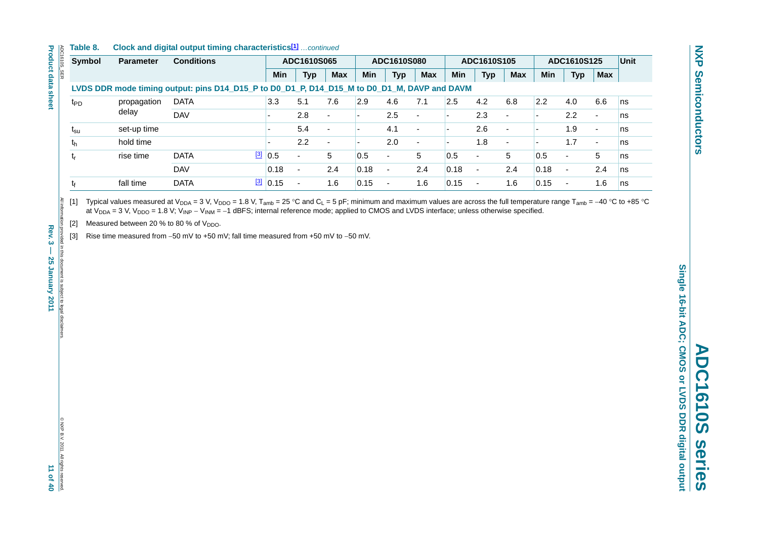#### **Table 8. Clock and digital output timing characteristics[1]** *…continued*

| Symbol          | <b>Parameter</b> | <b>Conditions</b>                                                                           |                    | ADC1610S065              |                          |            | ADC1610S080              |                          |            | ADC1610S105              |                          |            | ADC1610S125              |                          | <b>Unit</b> |
|-----------------|------------------|---------------------------------------------------------------------------------------------|--------------------|--------------------------|--------------------------|------------|--------------------------|--------------------------|------------|--------------------------|--------------------------|------------|--------------------------|--------------------------|-------------|
|                 |                  |                                                                                             | Min                | Typ                      | <b>Max</b>               | <b>Min</b> | <b>Typ</b>               | <b>Max</b>               | <b>Min</b> | <b>Typ</b>               | <b>Max</b>               | <b>Min</b> | <b>Typ</b>               | <b>Max</b>               |             |
|                 |                  | LVDS DDR mode timing output: pins D14_D15_P to D0_D1_P, D14_D15_M to D0_D1_M, DAVP and DAVM |                    |                          |                          |            |                          |                          |            |                          |                          |            |                          |                          |             |
| t <sub>PD</sub> | propagation      | <b>DATA</b>                                                                                 | 3.3                | 5.1                      | 7.6                      | 2.9        | 4.6                      | 7.1                      | 2.5        | 4.2                      | 6.8                      | 2.2        | 4.0                      | 6.6                      | ns          |
|                 | delay            | <b>DAV</b>                                                                                  |                    | 2.8                      |                          |            | 2.5                      | $\overline{\phantom{0}}$ |            | 2.3                      | ۰                        |            | 2.2                      | $\overline{\phantom{a}}$ | ns          |
| $t_{\rm su}$    | set-up time      |                                                                                             |                    | 5.4                      |                          |            | 4.1                      | $\overline{a}$           |            | 2.6                      | $\overline{\phantom{0}}$ |            | 1.9                      | $\sim$                   | ns          |
| th              | hold time        |                                                                                             |                    | 2.2                      | $\overline{\phantom{0}}$ |            | 2.0                      | $\overline{a}$           |            | 1.8                      | $\sim$                   |            | 1.7                      | $\sim$                   | ns          |
| t,              | rise time        | <b>DATA</b>                                                                                 | $\frac{3}{10}$ 0.5 | $\overline{\phantom{0}}$ | 5                        | 0.5        | $\overline{\phantom{0}}$ | 5                        | 0.5        | $\overline{\phantom{0}}$ | 5                        | 0.5        | $\overline{\phantom{a}}$ | 5                        | ns          |
|                 |                  | <b>DAV</b>                                                                                  | 0.18               | $\overline{\phantom{0}}$ | 2.4                      | 0.18       | $\blacksquare$           | 2.4                      | 0.18       | $\overline{\phantom{0}}$ | 2.4                      | 0.18       | $\overline{\phantom{a}}$ | 2.4                      | ns          |
| tŧ              | fall time        | <b>DATA</b>                                                                                 | $\frac{3}{3}$ 0.15 | $\overline{\phantom{0}}$ | 1.6                      | 0.15       | $\overline{\phantom{a}}$ | 1.6                      | 0.15       |                          | 1.6                      | 0.15       | $\overline{\phantom{a}}$ | 6.،                      | ns          |

<span id="page-10-0"></span>[1] Typical values measured at V<sub>DDA</sub> = 3 V, V<sub>DDO</sub> = 1.8 V, T<sub>amb</sub> = 25 °C and C<sub>L</sub> = 5 pF; minimum and maximum values are across the full temperature range T<sub>amb</sub> = −40 °C to +85 °C at V<sub>DDA</sub> = 3 V, V<sub>DDO</sub> = 1.8 V; V<sub>INP</sub> − V<sub>INM</sub> = −1 dBFS; internal reference mode; applied to CMOS and LVDS interface; unless otherwise specified.

<span id="page-10-1"></span>[2] Measured between 20 % to 80 % of  $V_{DDO}$ .

<span id="page-10-2"></span>[3] Rise time measured from −50 mV to +50 mV; fall time measured from +50 mV to −50 mV.

N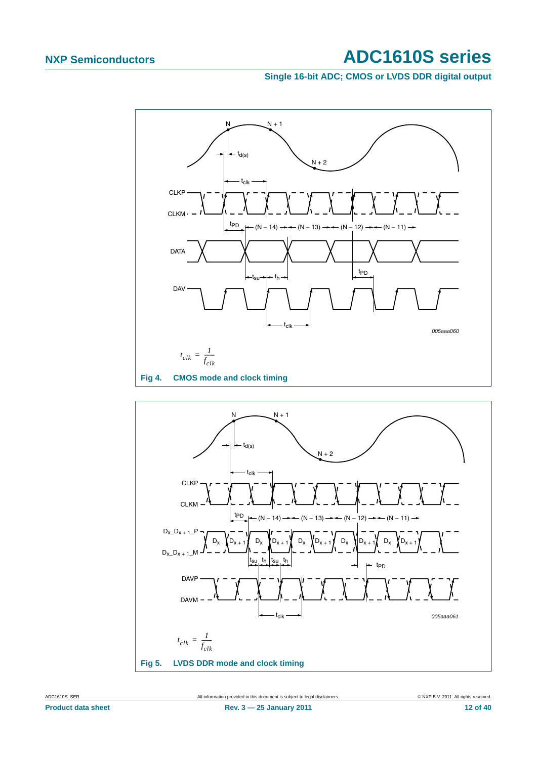**Single 16-bit ADC; CMOS or LVDS DDR digital output**



<span id="page-11-0"></span>

<span id="page-11-1"></span>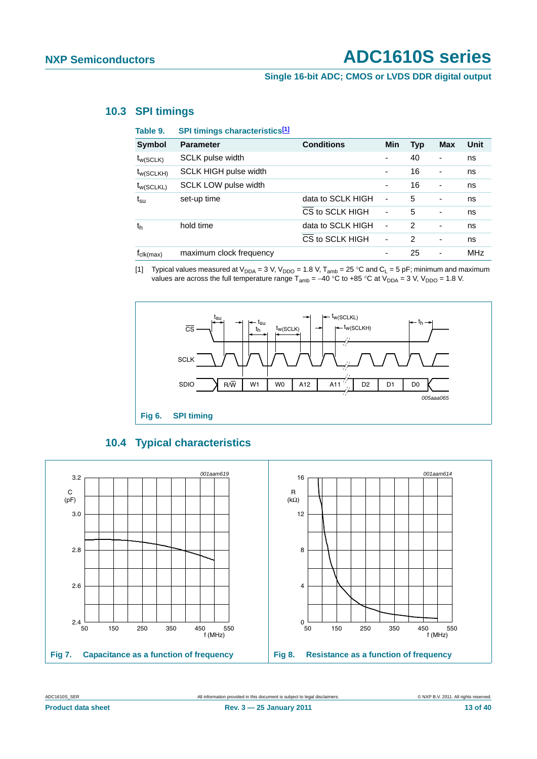#### **Single 16-bit ADC; CMOS or LVDS DDR digital output**

#### <span id="page-12-2"></span>**10.3 SPI timings**

| Table 9.              | SPI timings characteristics[1] |                   |                          |                |            |            |
|-----------------------|--------------------------------|-------------------|--------------------------|----------------|------------|------------|
| <b>Symbol</b>         | <b>Parameter</b>               | <b>Conditions</b> | <b>Min</b>               | <b>Typ</b>     | <b>Max</b> | Unit       |
| $t_{w(SCLK)}$         | SCLK pulse width               |                   | $\overline{\phantom{a}}$ | 40             |            | ns         |
| $t_{W(SCLKH)}$        | <b>SCLK HIGH pulse width</b>   |                   | -                        | 16             | ۰          | ns         |
| $t_{W(SCLKL)}$        | SCLK LOW pulse width           |                   | $\overline{\phantom{a}}$ | 16             | -          | ns         |
| $t_{\rm su}$          | set-up time                    | data to SCLK HIGH | ÷,                       | 5              | ۰          | ns         |
|                       |                                | CS to SCLK HIGH   | $\overline{a}$           | 5              |            | ns         |
| t <sub>h</sub>        | hold time                      | data to SCLK HIGH | ÷                        | $\overline{2}$ |            | ns         |
|                       |                                | CS to SCLK HIGH   | $\overline{\phantom{a}}$ | 2              | -          | ns         |
| $r_{\text{clk(max)}}$ | maximum clock frequency        |                   |                          | 25             | ۰          | <b>MHz</b> |

<span id="page-12-0"></span>[1] Typical values measured at  $V_{DDA} = 3 V$ ,  $V_{DDO} = 1.8 V$ ,  $T_{amb} = 25 °C$  and  $C_L = 5 pF$ ; minimum and maximum values are across the full temperature range  $T_{amb} = -40$  °C to +85 °C at  $V_{DDA} = 3$  V,  $V_{DDO} = 1.8$  V.





<span id="page-12-1"></span>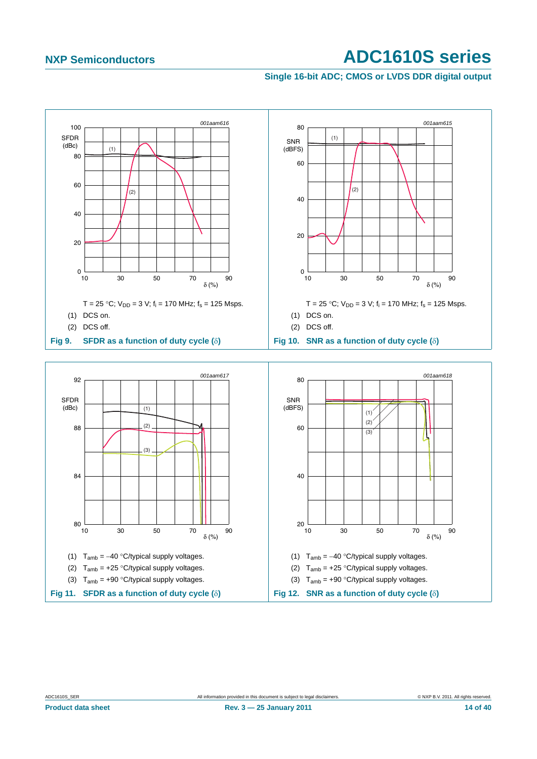#### **Single 16-bit ADC; CMOS or LVDS DDR digital output**

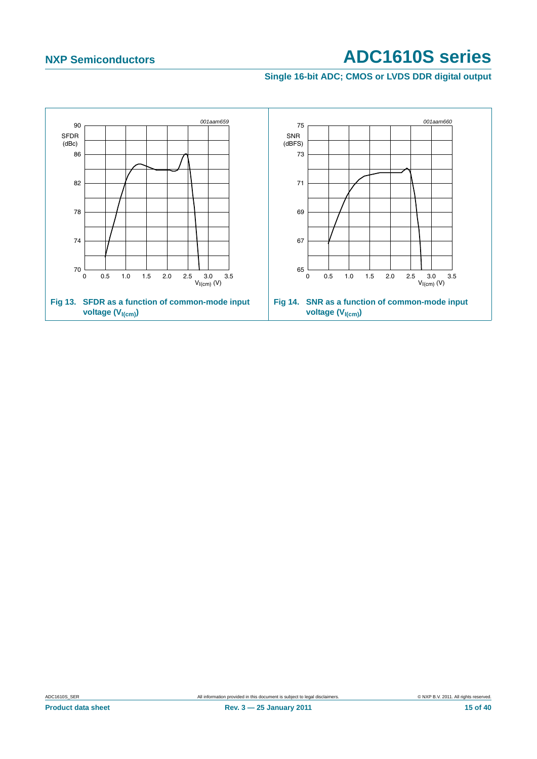**Single 16-bit ADC; CMOS or LVDS DDR digital output**

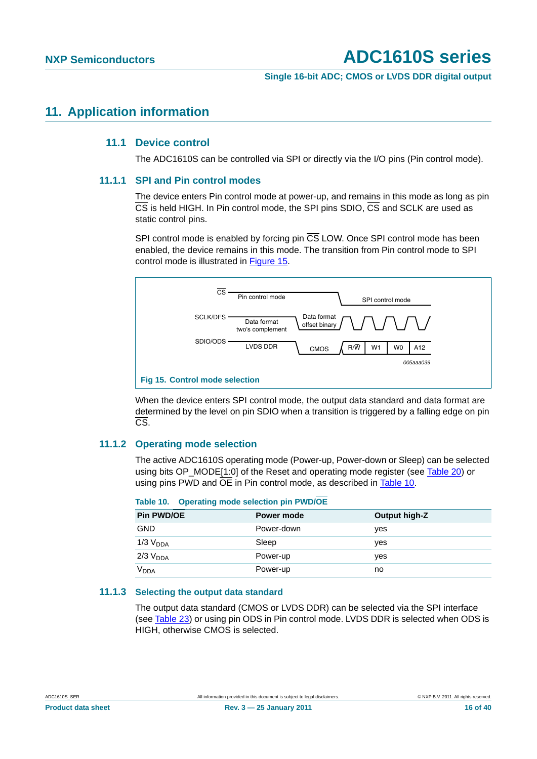**Single 16-bit ADC; CMOS or LVDS DDR digital output**

#### <span id="page-15-3"></span><span id="page-15-2"></span>**11. Application information**

#### **11.1 Device control**

The ADC1610S can be controlled via SPI or directly via the I/O pins (Pin control mode).

#### <span id="page-15-4"></span>**11.1.1 SPI and Pin control modes**

The device enters Pin control mode at power-up, and remains in this mode as long as pin CS is held HIGH. In Pin control mode, the SPI pins SDIO, CS and SCLK are used as static control pins.

SPI control mode is enabled by forcing pin  $\overline{CS}$  LOW. Once SPI control mode has been enabled, the device remains in this mode. The transition from Pin control mode to SPI control mode is illustrated in [Figure 15.](#page-15-0)



<span id="page-15-0"></span>When the device enters SPI control mode, the output data standard and data format are determined by the level on pin SDIO when a transition is triggered by a falling edge on pin CS.

#### <span id="page-15-5"></span>**11.1.2 Operating mode selection**

The active ADC1610S operating mode (Power-up, Power-down or Sleep) can be selected using bits OP\_MODE[1:0] of the Reset and operating mode register (see [Table 20\)](#page-30-0) or using pins PWD and  $\overline{OE}$  in Pin control mode, as described in [Table 10.](#page-15-1)

<span id="page-15-1"></span>

| Table 10. | <b>Operating mode selection pin PWD/OE</b> |  |  |
|-----------|--------------------------------------------|--|--|
|-----------|--------------------------------------------|--|--|

| <b>Pin PWD/OE</b>      | Power mode | Output high-Z |
|------------------------|------------|---------------|
| <b>GND</b>             | Power-down | ves           |
| $1/3$ $V_{DDA}$        | Sleep      | ves           |
| $2/3$ $V_{DDA}$        | Power-up   | ves           |
| <b>V<sub>DDA</sub></b> | Power-up   | no            |

#### <span id="page-15-6"></span>**11.1.3 Selecting the output data standard**

The output data standard (CMOS or LVDS DDR) can be selected via the SPI interface (see [Table 23\)](#page-31-0) or using pin ODS in Pin control mode. LVDS DDR is selected when ODS is HIGH, otherwise CMOS is selected.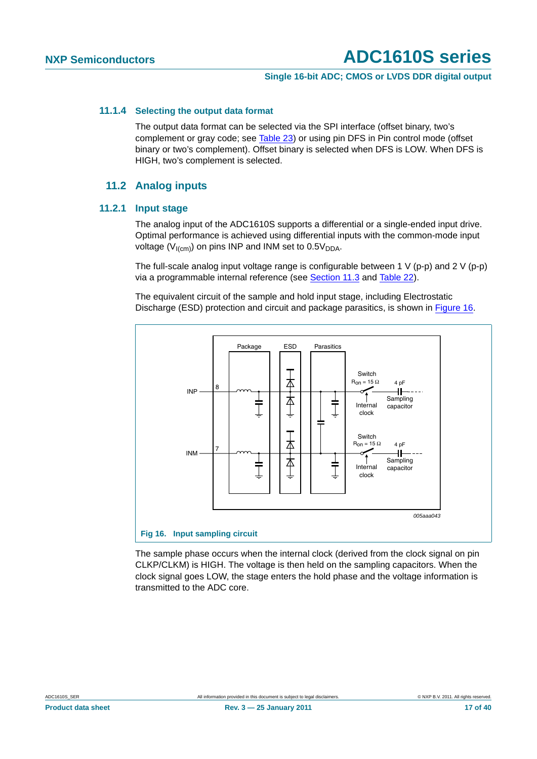#### **Single 16-bit ADC; CMOS or LVDS DDR digital output**

#### <span id="page-16-1"></span>**11.1.4 Selecting the output data format**

The output data format can be selected via the SPI interface (offset binary, two's complement or gray code; see [Table 23](#page-31-0)) or using pin DFS in Pin control mode (offset binary or two's complement). Offset binary is selected when DFS is LOW. When DFS is HIGH, two's complement is selected.

#### **11.2 Analog inputs**

#### <span id="page-16-3"></span><span id="page-16-2"></span>**11.2.1 Input stage**

The analog input of the ADC1610S supports a differential or a single-ended input drive. Optimal performance is achieved using differential inputs with the common-mode input voltage ( $V_{I(cm)}$ ) on pins INP and INM set to 0.5 $V_{DDA}$ .

The full-scale analog input voltage range is configurable between 1 V (p-p) and 2 V (p-p) via a programmable internal reference (see [Section 11.3](#page-18-0) and [Table 22\)](#page-31-1).

The equivalent circuit of the sample and hold input stage, including Electrostatic Discharge (ESD) protection and circuit and package parasitics, is shown in [Figure 16.](#page-16-0)



<span id="page-16-0"></span>The sample phase occurs when the internal clock (derived from the clock signal on pin CLKP/CLKM) is HIGH. The voltage is then held on the sampling capacitors. When the clock signal goes LOW, the stage enters the hold phase and the voltage information is transmitted to the ADC core.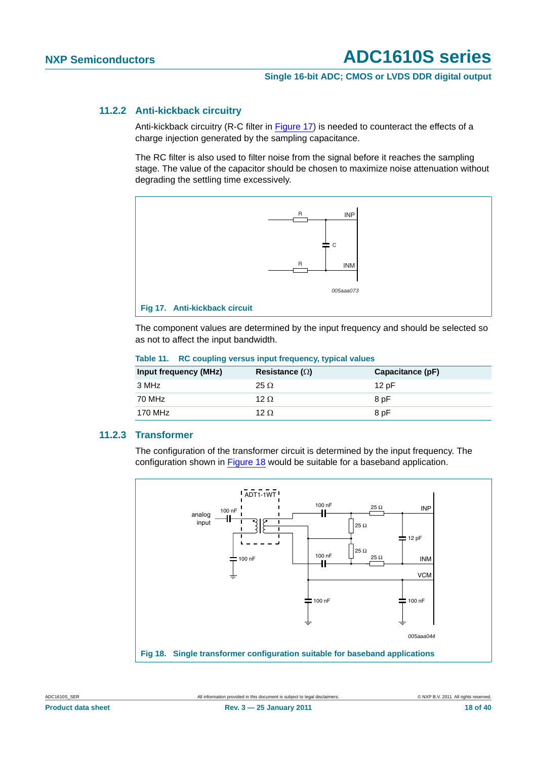#### **Single 16-bit ADC; CMOS or LVDS DDR digital output**

#### <span id="page-17-2"></span>**11.2.2 Anti-kickback circuitry**

Anti-kickback circuitry (R-C filter in [Figure 17](#page-17-0)) is needed to counteract the effects of a charge injection generated by the sampling capacitance.

The RC filter is also used to filter noise from the signal before it reaches the sampling stage. The value of the capacitor should be chosen to maximize noise attenuation without degrading the settling time excessively.



<span id="page-17-0"></span>The component values are determined by the input frequency and should be selected so as not to affect the input bandwidth.

| <b>Input frequency (MHz)</b> | Resistance ( $\Omega$ ) | Capacitance (pF) |
|------------------------------|-------------------------|------------------|
| 3 MHz                        | $25 \Omega$             | 12pF             |
| 70 MHz                       | 12 $\Omega$             | 8 pF             |
| 170 MHz                      | 12 $\Omega$             | 8 pF             |

#### **Table 11. RC coupling versus input frequency, typical values**

#### <span id="page-17-3"></span>**11.2.3 Transformer**

The configuration of the transformer circuit is determined by the input frequency. The configuration shown in [Figure 18](#page-17-1) would be suitable for a baseband application.



<span id="page-17-1"></span>**Product data sheet 18 of 40** CH 25 January 2011 **18 Of 40** 25 January 2011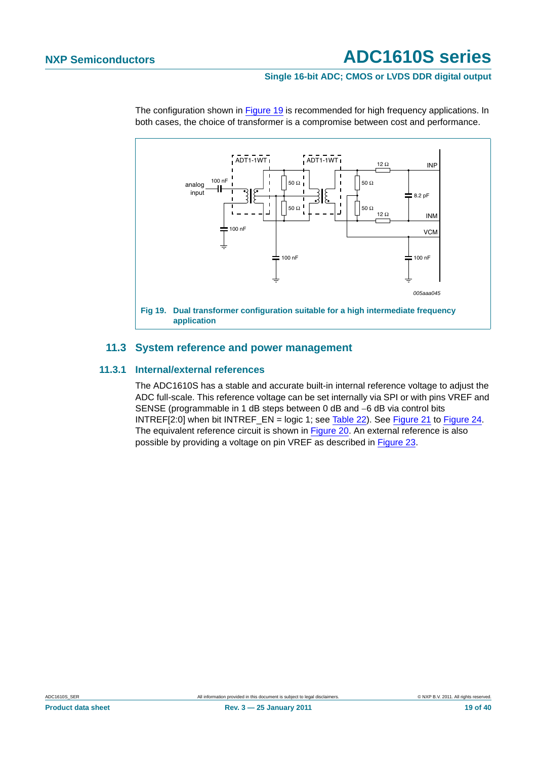#### **Single 16-bit ADC; CMOS or LVDS DDR digital output**



The configuration shown in [Figure 19](#page-18-1) is recommended for high frequency applications. In both cases, the choice of transformer is a compromise between cost and performance.

#### <span id="page-18-1"></span>**11.3 System reference and power management**

#### <span id="page-18-2"></span><span id="page-18-0"></span>**11.3.1 Internal/external references**

The ADC1610S has a stable and accurate built-in internal reference voltage to adjust the ADC full-scale. This reference voltage can be set internally via SPI or with pins VREF and SENSE (programmable in 1 dB steps between 0 dB and −6 dB via control bits INTREF[2:0] when bit INTREF\_EN = logic 1; see [Table 22](#page-31-1)). See [Figure 21](#page-20-0) to [Figure 24](#page-20-1). The equivalent reference circuit is shown in [Figure 20.](#page-19-0) An external reference is also possible by providing a voltage on pin VREF as described in [Figure 23](#page-20-2).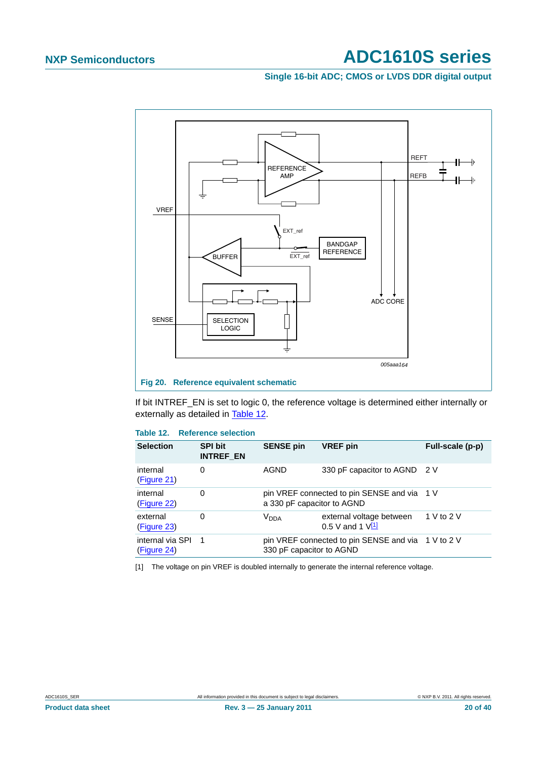#### **Single 16-bit ADC; CMOS or LVDS DDR digital output**



<span id="page-19-0"></span>If bit INTREF\_EN is set to logic 0, the reference voltage is determined either internally or externally as detailed in [Table 12.](#page-19-1)

#### <span id="page-19-1"></span>**Table 12. Reference selection**

| <b>Selection</b>                | <b>SPI bit</b><br><b>INTREF EN</b> | <b>SENSE pin</b>           | <b>VREF</b> pin                                     | Full-scale (p-p) |
|---------------------------------|------------------------------------|----------------------------|-----------------------------------------------------|------------------|
| internal<br>(Figure 21)         | 0                                  | AGND                       | 330 pF capacitor to AGND 2 V                        |                  |
| internal<br>(Figure 22)         | 0                                  | a 330 pF capacitor to AGND | pin VREF connected to pin SENSE and via 1 V         |                  |
| external<br>(Figure 23)         | 0                                  | V <sub>DDA</sub>           | external voltage between<br>$0.5$ V and 1 $V^{[1]}$ | 1 V to 2 V       |
| internal via SPI<br>(Figure 24) | $\overline{1}$                     | 330 pF capacitor to AGND   | pin VREF connected to pin SENSE and via 1 V to 2 V  |                  |

<span id="page-19-2"></span>[1] The voltage on pin VREF is doubled internally to generate the internal reference voltage.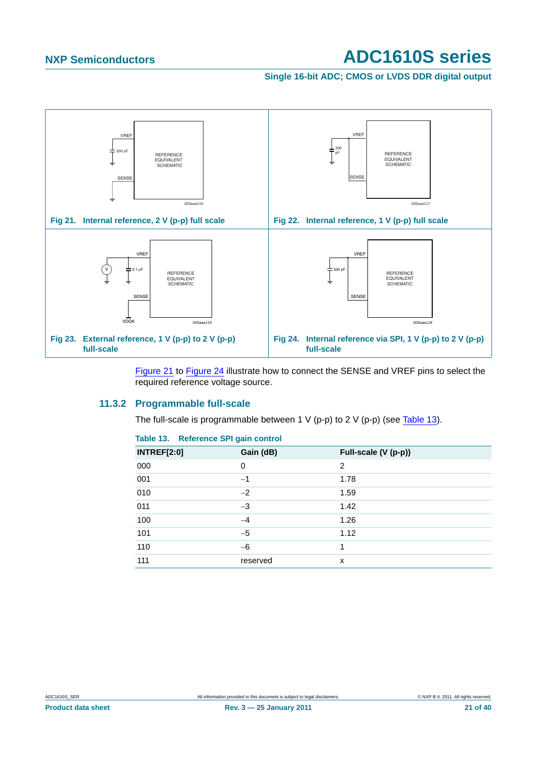<span id="page-20-3"></span>**Single 16-bit ADC; CMOS or LVDS DDR digital output**

<span id="page-20-0"></span>

<span id="page-20-1"></span>[Figure 21](#page-20-0) to [Figure 24](#page-20-1) illustrate how to connect the SENSE and VREF pins to select the required reference voltage source.

#### <span id="page-20-5"></span><span id="page-20-2"></span>**11.3.2 Programmable full-scale**

The full-scale is programmable between 1 V (p-p) to 2 V (p-p) (see [Table 13](#page-20-4)).

<span id="page-20-4"></span>

| <b>INTREF[2:0]</b> | Gain (dB) | Full-scale (V (p-p)) |
|--------------------|-----------|----------------------|
| 000                | $\Omega$  | 2                    |
| 001                | $-1$      | 1.78                 |
| 010                | $-2$      | 1.59                 |
| 011                | $-3$      | 1.42                 |
| 100                | $-4$      | 1.26                 |
| 101                | $-5$      | 1.12                 |
| 110                | $-6$      | 1                    |
| 111                | reserved  | x                    |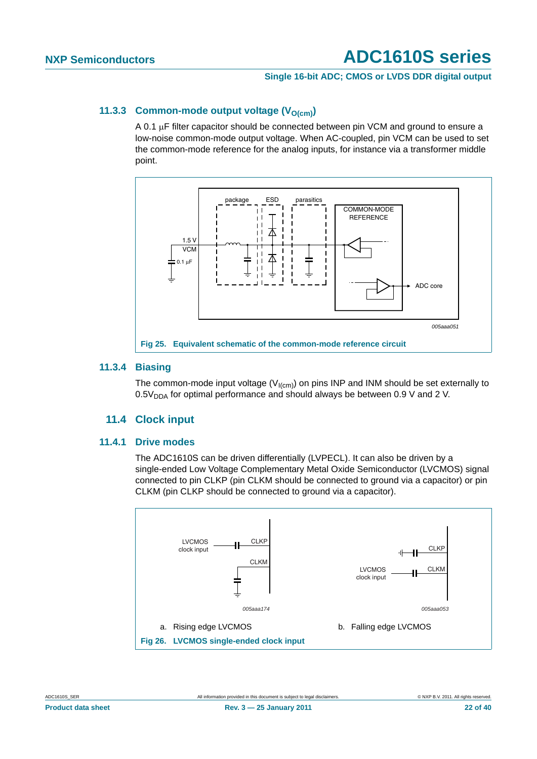#### **Single 16-bit ADC; CMOS or LVDS DDR digital output**

#### <span id="page-21-0"></span>**11.3.3 Common-mode output voltage (V<sub>O(cm)</sub>)**

A 0.1 μF filter capacitor should be connected between pin VCM and ground to ensure a low-noise common-mode output voltage. When AC-coupled, pin VCM can be used to set the common-mode reference for the analog inputs, for instance via a transformer middle point.



#### <span id="page-21-1"></span>**11.3.4 Biasing**

The common-mode input voltage ( $V_{I(cm)}$ ) on pins INP and INM should be set externally to  $0.5V<sub>DDA</sub>$  for optimal performance and should always be between 0.9 V and 2 V.

#### **11.4 Clock input**

#### <span id="page-21-3"></span><span id="page-21-2"></span>**11.4.1 Drive modes**

The ADC1610S can be driven differentially (LVPECL). It can also be driven by a single-ended Low Voltage Complementary Metal Oxide Semiconductor (LVCMOS) signal connected to pin CLKP (pin CLKM should be connected to ground via a capacitor) or pin CLKM (pin CLKP should be connected to ground via a capacitor).

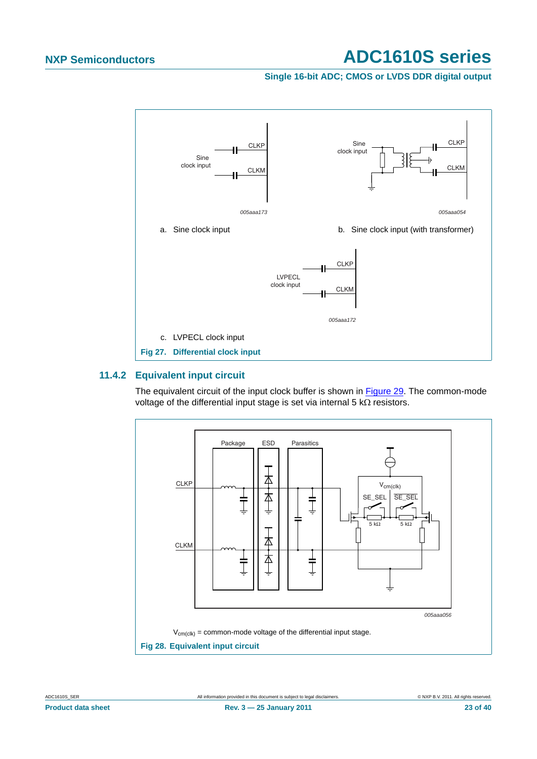#### **Single 16-bit ADC; CMOS or LVDS DDR digital output**



#### <span id="page-22-0"></span>**11.4.2 Equivalent input circuit**

The equivalent circuit of the input clock buffer is shown in [Figure 29.](#page-23-0) The common-mode voltage of the differential input stage is set via internal 5 kΩ resistors.

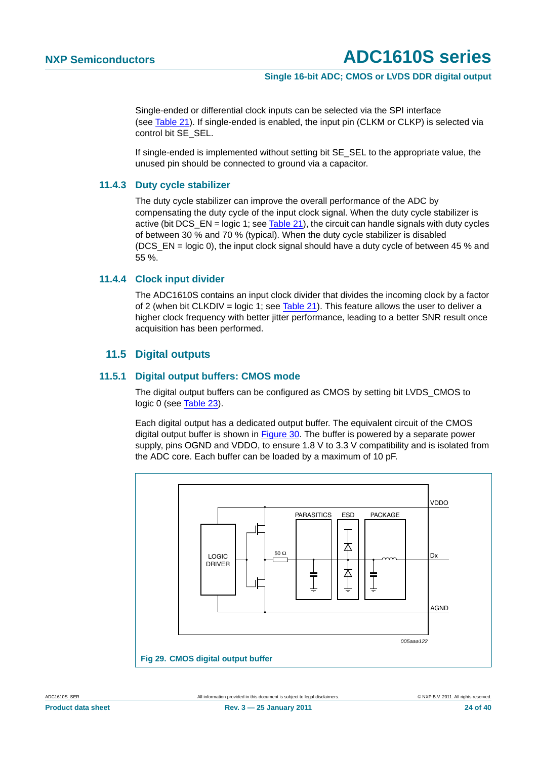#### **Single 16-bit ADC; CMOS or LVDS DDR digital output**

Single-ended or differential clock inputs can be selected via the SPI interface (see [Table 21](#page-30-1)). If single-ended is enabled, the input pin (CLKM or CLKP) is selected via control bit SE\_SEL.

If single-ended is implemented without setting bit SE\_SEL to the appropriate value, the unused pin should be connected to ground via a capacitor.

#### <span id="page-23-1"></span>**11.4.3 Duty cycle stabilizer**

The duty cycle stabilizer can improve the overall performance of the ADC by compensating the duty cycle of the input clock signal. When the duty cycle stabilizer is active (bit DCS\_EN = logic 1; see [Table 21](#page-30-1)), the circuit can handle signals with duty cycles of between 30 % and 70 % (typical). When the duty cycle stabilizer is disabled (DCS EN = logic 0), the input clock signal should have a duty cycle of between 45 % and 55 %.

#### <span id="page-23-2"></span>**11.4.4 Clock input divider**

The ADC1610S contains an input clock divider that divides the incoming clock by a factor of 2 (when bit CLKDIV = logic 1; see [Table 21](#page-30-1)). This feature allows the user to deliver a higher clock frequency with better jitter performance, leading to a better SNR result once acquisition has been performed.

#### **11.5 Digital outputs**

#### <span id="page-23-4"></span><span id="page-23-3"></span>**11.5.1 Digital output buffers: CMOS mode**

The digital output buffers can be configured as CMOS by setting bit LVDS\_CMOS to logic 0 (see [Table 23\)](#page-31-0).

Each digital output has a dedicated output buffer. The equivalent circuit of the CMOS digital output buffer is shown in [Figure 30.](#page-24-0) The buffer is powered by a separate power supply, pins OGND and VDDO, to ensure 1.8 V to 3.3 V compatibility and is isolated from the ADC core. Each buffer can be loaded by a maximum of 10 pF.

<span id="page-23-0"></span>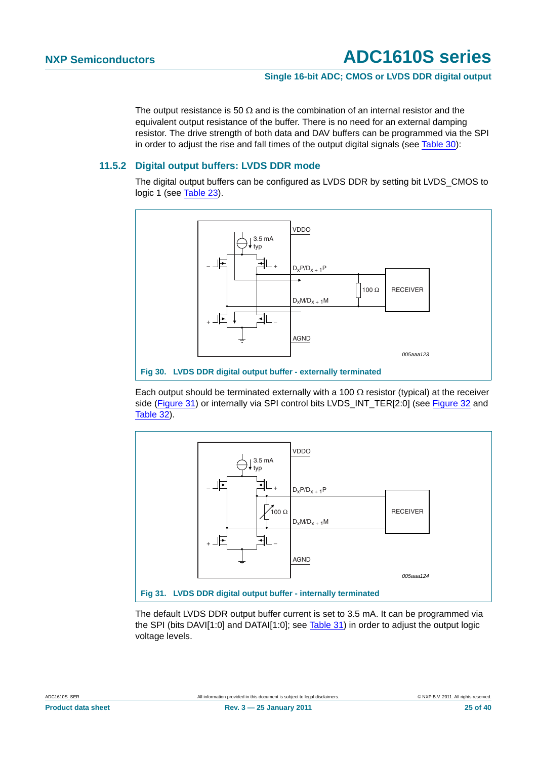#### **Single 16-bit ADC; CMOS or LVDS DDR digital output**

The output resistance is 50  $\Omega$  and is the combination of an internal resistor and the equivalent output resistance of the buffer. There is no need for an external damping resistor. The drive strength of both data and DAV buffers can be programmed via the SPI in order to adjust the rise and fall times of the output digital signals (see [Table 30\)](#page-33-0):

#### <span id="page-24-2"></span>**11.5.2 Digital output buffers: LVDS DDR mode**

The digital output buffers can be configured as LVDS DDR by setting bit LVDS\_CMOS to logic 1 (see [Table 23\)](#page-31-0).



<span id="page-24-0"></span>**Fig 30. LVDS DDR digital output buffer - externally terminated**

Each output should be terminated externally with a 100  $\Omega$  resistor (typical) at the receiver side ([Figure 31\)](#page-24-1) or internally via SPI control bits LVDS\_INT\_TER[2:0] (see [Figure 32](#page-27-0) and [Table 32\)](#page-34-0).



<span id="page-24-1"></span>The default LVDS DDR output buffer current is set to 3.5 mA. It can be programmed via the SPI (bits DAVI[1:0] and DATAI[1:0]; see [Table 31](#page-34-1)) in order to adjust the output logic voltage levels.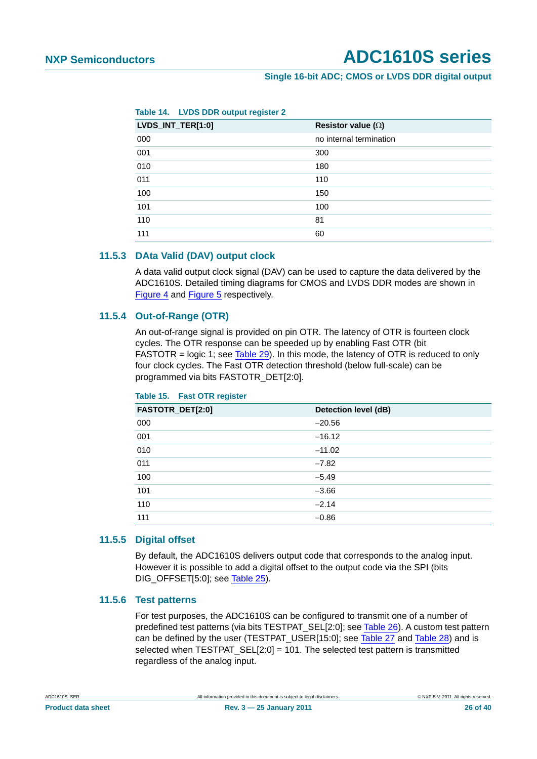#### **Single 16-bit ADC; CMOS or LVDS DDR digital output**

| Table 14. |  |  |  | <b>LVDS DDR output register 2</b> |
|-----------|--|--|--|-----------------------------------|
|-----------|--|--|--|-----------------------------------|

| LVDS_INT_TER[1:0] | Resistor value ( $\Omega$ ) |
|-------------------|-----------------------------|
| 000               | no internal termination     |
| 001               | 300                         |
| 010               | 180                         |
| 011               | 110                         |
| 100               | 150                         |
| 101               | 100                         |
| 110               | 81                          |
| 111               | 60                          |

#### <span id="page-25-0"></span>**11.5.3 DAta Valid (DAV) output clock**

A data valid output clock signal (DAV) can be used to capture the data delivered by the ADC1610S. Detailed timing diagrams for CMOS and LVDS DDR modes are shown in [Figure 4](#page-11-0) and [Figure 5](#page-11-1) respectively.

#### <span id="page-25-1"></span>**11.5.4 Out-of-Range (OTR)**

An out-of-range signal is provided on pin OTR. The latency of OTR is fourteen clock cycles. The OTR response can be speeded up by enabling Fast OTR (bit FASTOTR = logic 1; see [Table 29](#page-33-1)). In this mode, the latency of OTR is reduced to only four clock cycles. The Fast OTR detection threshold (below full-scale) can be programmed via bits FASTOTR\_DET[2:0].

| FASTOTR_DET[2:0] | Detection level (dB) |
|------------------|----------------------|
| 000              | $-20.56$             |
| 001              | $-16.12$             |
| 010              | $-11.02$             |
| 011              | $-7.82$              |
| 100              | $-5.49$              |
| 101              | $-3.66$              |
| 110              | $-2.14$              |
| 111              | $-0.86$              |

#### **Table 15. Fast OTR register**

#### <span id="page-25-2"></span>**11.5.5 Digital offset**

By default, the ADC1610S delivers output code that corresponds to the analog input. However it is possible to add a digital offset to the output code via the SPI (bits DIG\_OFFSET[5:0]; see [Table 25\)](#page-32-0).

#### <span id="page-25-3"></span>**11.5.6 Test patterns**

For test purposes, the ADC1610S can be configured to transmit one of a number of predefined test patterns (via bits TESTPAT\_SEL[2:0]; see [Table 26](#page-32-1)). A custom test pattern can be defined by the user (TESTPAT\_USER[15:0]; see [Table 27](#page-33-2) and [Table 28](#page-33-3)) and is selected when TESTPAT  $SEL[2:0] = 101$ . The selected test pattern is transmitted regardless of the analog input.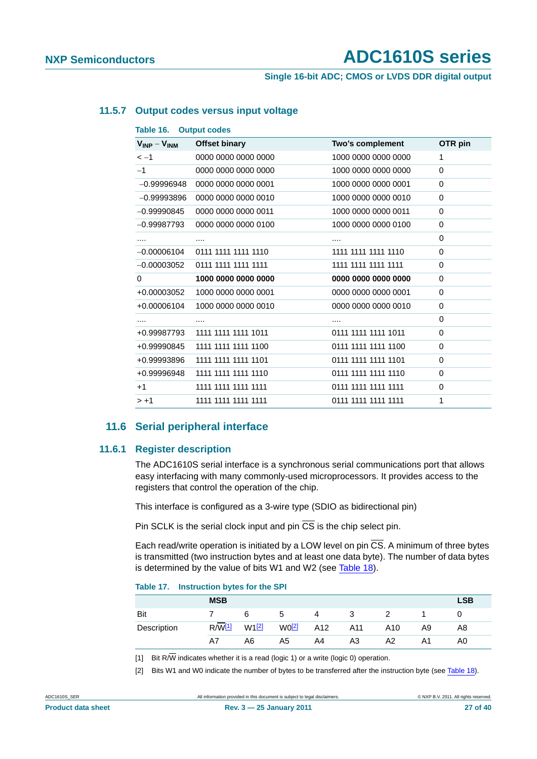**Single 16-bit ADC; CMOS or LVDS DDR digital output**

#### <span id="page-26-2"></span>**11.5.7 Output codes versus input voltage**

| $V_{INP} - V_{INM}$ | <b>Offset binary</b> | Two's complement    | OTR pin  |
|---------------------|----------------------|---------------------|----------|
| $\lt -1$            | 0000 0000 0000 0000  | 1000 0000 0000 0000 | 1        |
| $-1$                | 0000 0000 0000 0000  | 1000 0000 0000 0000 | $\Omega$ |
| $-0.99996948$       | 0000 0000 0000 0001  | 1000 0000 0000 0001 | $\Omega$ |
| $-0.99993896$       | 0000 0000 0000 0010  | 1000 0000 0000 0010 | 0        |
| $-0.99990845$       | 0000 0000 0000 0011  | 1000 0000 0000 0011 | $\Omega$ |
| $-0.99987793$       | 0000 0000 0000 0100  | 1000 0000 0000 0100 | 0        |
|                     |                      |                     | 0        |
| $-0.00006104$       | 0111 1111 1111 1110  | 1111 1111 1111 1110 | $\Omega$ |
| $-0.00003052$       | 0111 1111 1111 1111  | 1111 1111 1111 1111 | $\Omega$ |
| 0                   | 1000 0000 0000 0000  | 0000 0000 0000 0000 | $\Omega$ |
| +0.00003052         | 1000 0000 0000 0001  | 0000 0000 0000 0001 | $\Omega$ |
| +0.00006104         | 1000 0000 0000 0010  | 0000 0000 0000 0010 | $\Omega$ |
|                     |                      |                     | 0        |
| +0.99987793         | 1111 1111 1111 1011  | 0111 1111 1111 1011 | $\Omega$ |
| +0.99990845         | 1111 1111 1111 1100  | 0111 1111 1111 1100 | 0        |
| +0.99993896         | 1111 1111 1111 1101  | 0111 1111 1111 1101 | 0        |
| +0.99996948         | 1111 1111 1111 1110  | 0111 1111 1111 1110 | $\Omega$ |
| $+1$                | 1111 1111 1111 1111  | 0111 1111 1111 1111 | $\Omega$ |
| $> +1$              | 1111 1111 1111 1111  | 0111 1111 1111 1111 | 1        |

#### **11.6 Serial peripheral interface**

#### <span id="page-26-4"></span><span id="page-26-3"></span>**11.6.1 Register description**

The ADC1610S serial interface is a synchronous serial communications port that allows easy interfacing with many commonly-used microprocessors. It provides access to the registers that control the operation of the chip.

This interface is configured as a 3-wire type (SDIO as bidirectional pin)

Pin SCLK is the serial clock input and pin  $\overline{CS}$  is the chip select pin.

Each read/write operation is initiated by a LOW level on pin  $\overline{CS}$ . A minimum of three bytes is transmitted (two instruction bytes and at least one data byte). The number of data bytes is determined by the value of bits W1 and W2 (see [Table 18\)](#page-27-1).

#### **Table 17. Instruction bytes for the SPI**

|             | <b>MSB</b>    |                   |             |     |     |     |    | <b>LSB</b> |
|-------------|---------------|-------------------|-------------|-----|-----|-----|----|------------|
| Bit         |               | 6                 | $\mathbf b$ | 4   | 3   |     |    |            |
| Description | $R/\sqrt{11}$ | W1 <sup>[2]</sup> | $W0$ [2]    | A12 | A11 | A10 | A9 | A8         |
|             | A7            | A6                | A5          | A4  | A3  | A2  | Α1 | A0         |

<span id="page-26-0"></span>[1] Bit R $\overline{W}$  indicates whether it is a read (logic 1) or a write (logic 0) operation.

<span id="page-26-1"></span>[2] Bits W1 and W0 indicate the number of bytes to be transferred after the instruction byte (see [Table 18](#page-27-1)).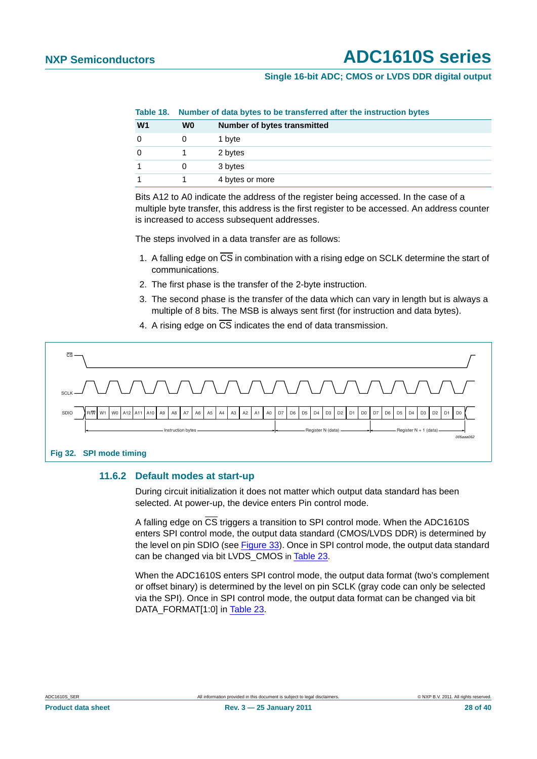#### **Single 16-bit ADC; CMOS or LVDS DDR digital output**

<span id="page-27-1"></span>**Table 18. Number of data bytes to be transferred after the instruction bytes**

| W <sub>1</sub> | W0 | <b>Number of bytes transmitted</b> |
|----------------|----|------------------------------------|
|                |    | 1 byte                             |
|                |    | 2 bytes                            |
|                |    | 3 bytes                            |
|                |    | 4 bytes or more                    |

Bits A12 to A0 indicate the address of the register being accessed. In the case of a multiple byte transfer, this address is the first register to be accessed. An address counter is increased to access subsequent addresses.

The steps involved in a data transfer are as follows:

- 1. A falling edge on CS in combination with a rising edge on SCLK determine the start of communications.
- 2. The first phase is the transfer of the 2-byte instruction.
- 3. The second phase is the transfer of the data which can vary in length but is always a multiple of 8 bits. The MSB is always sent first (for instruction and data bytes).
- 4. A rising edge on  $\overline{\text{CS}}$  indicates the end of data transmission.



#### <span id="page-27-2"></span><span id="page-27-0"></span>**11.6.2 Default modes at start-up**

During circuit initialization it does not matter which output data standard has been selected. At power-up, the device enters Pin control mode.

A falling edge on CS triggers a transition to SPI control mode. When the ADC1610S enters SPI control mode, the output data standard (CMOS/LVDS DDR) is determined by the level on pin SDIO (see [Figure 33\)](#page-28-0). Once in SPI control mode, the output data standard can be changed via bit LVDS\_CMOS in [Table 23.](#page-31-0)

When the ADC1610S enters SPI control mode, the output data format (two's complement or offset binary) is determined by the level on pin SCLK (gray code can only be selected via the SPI). Once in SPI control mode, the output data format can be changed via bit DATA\_FORMAT[1:0] in [Table 23.](#page-31-0)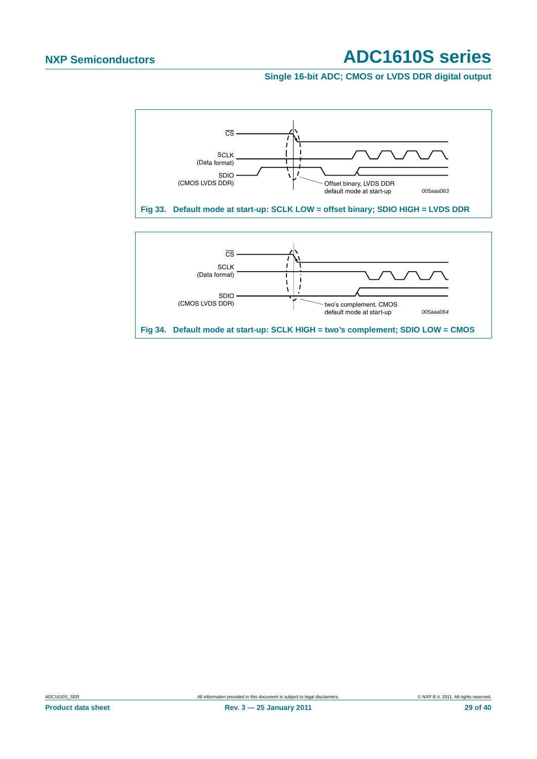**Single 16-bit ADC; CMOS or LVDS DDR digital output**

<span id="page-28-0"></span>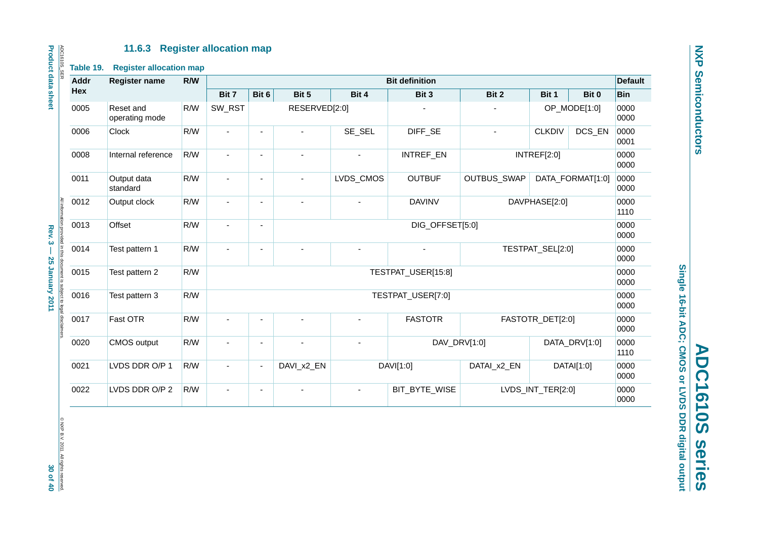#### **11.6.3 Register allocation map**

| Addr | Register name               | R/W | <b>Bit definition</b> |                                                      |                          |                          |                   |               |                   |                  |              |  |
|------|-----------------------------|-----|-----------------------|------------------------------------------------------|--------------------------|--------------------------|-------------------|---------------|-------------------|------------------|--------------|--|
| Hex  |                             |     | Bit 7                 | Bit 6                                                | Bit 5                    | Bit 4                    | Bit 3             | Bit 2         | Bit 1             | Bit 0            | <b>Bin</b>   |  |
| 0005 | Reset and<br>operating mode | R/W | SW_RST                |                                                      | RESERVED[2:0]            |                          |                   |               |                   | OP_MODE[1:0]     | 0000<br>0000 |  |
| 0006 | Clock                       | R/W | $\blacksquare$        | $\blacksquare$                                       | $\blacksquare$           | SE_SEL                   | DIFF_SE           | ä,            | <b>CLKDIV</b>     | DCS_EN           | 0000<br>0001 |  |
| 0008 | Internal reference          | R/W | $\blacksquare$        | $\blacksquare$                                       | $\overline{\phantom{a}}$ | $\overline{\phantom{a}}$ | INTREF_EN         |               | INTREF[2:0]       |                  | 0000<br>0000 |  |
| 0011 | Output data<br>standard     | R/W | $\blacksquare$        | $\blacksquare$                                       | ä,                       | LVDS_CMOS                | <b>OUTBUF</b>     | OUTBUS_SWAP   |                   | DATA_FORMAT[1:0] | 0000<br>0000 |  |
| 0012 | Output clock                | R/W | $\sim$                | $\blacksquare$                                       | ÷,                       | $\blacksquare$           | <b>DAVINV</b>     | DAVPHASE[2:0] |                   |                  | 0000<br>1110 |  |
| 0013 | Offset                      | R/W |                       | DIG_OFFSET[5:0]<br>$\blacksquare$                    |                          |                          |                   |               |                   |                  | 0000<br>0000 |  |
| 0014 | Test pattern 1              | R/W |                       | TESTPAT_SEL[2:0]<br>ä,<br>$\overline{a}$<br>÷,<br>÷. |                          |                          |                   |               |                   | 0000<br>0000     |              |  |
| 0015 | Test pattern 2              | R/W |                       | TESTPAT_USER[15:8]                                   |                          |                          |                   |               |                   |                  | 0000<br>0000 |  |
| 0016 | Test pattern 3              | R/W |                       |                                                      |                          |                          | TESTPAT_USER[7:0] |               |                   |                  | 0000<br>0000 |  |
| 0017 | Fast OTR                    | R/W |                       |                                                      |                          |                          | <b>FASTOTR</b>    |               | FASTOTR_DET[2:0]  |                  | 0000<br>0000 |  |
| 0020 | CMOS output                 | R/W |                       | $\blacksquare$                                       |                          | ÷,                       | DAV_DRV[1:0]      |               |                   | DATA_DRV[1:0]    | 0000<br>1110 |  |
| 0021 | LVDS DDR O/P 1              | R/W | $\blacksquare$        | $\overline{\phantom{a}}$                             | DAVI_x2_EN               |                          | DAVI[1:0]         | DATAI_x2_EN   |                   | DATAI[1:0]       | 0000<br>0000 |  |
| 0022 | LVDS DDR O/P 2              | R/W | $\blacksquare$        | $\blacksquare$                                       |                          | $\blacksquare$           | BIT_BYTE_WISE     |               | LVDS_INT_TER[2:0] |                  | 0000<br>0000 |  |
|      |                             |     |                       |                                                      |                          |                          |                   |               |                   |                  |              |  |

**Product data sheet Rev. 3 — 25 January 2011 40**  $\sim$  **3**  $\sim$  **7**  $\sim$  **76**  $\sim$  **76**  $\sim$  **76**  $\sim$  **30**  $\sim$  **8**  $\sim$  **80**  $\sim$  **80**  $\sim$  **80**  $\sim$  **80**  $\sim$  **80**  $\sim$  **80**  $\sim$  **80**  $\sim$  **80**  $\sim$  **80**  $\sim$  **80**  $\sim$  **80**  $\sim$  **80**  $\sim$  **80**  $\sim$  **80**  $\sim$  **80** Rev. 3 - 25 January 2011

<span id="page-29-0"></span>© NXP B.V. 2011. All rights reserved.<br>3**0 Of 40** 

Single 16-bit ADC; CMOS or LVDS DDR digital output **Single 16-bit ADC; CMOS or LVDS DDR digital output** ADC1610S series **ADC1610S series**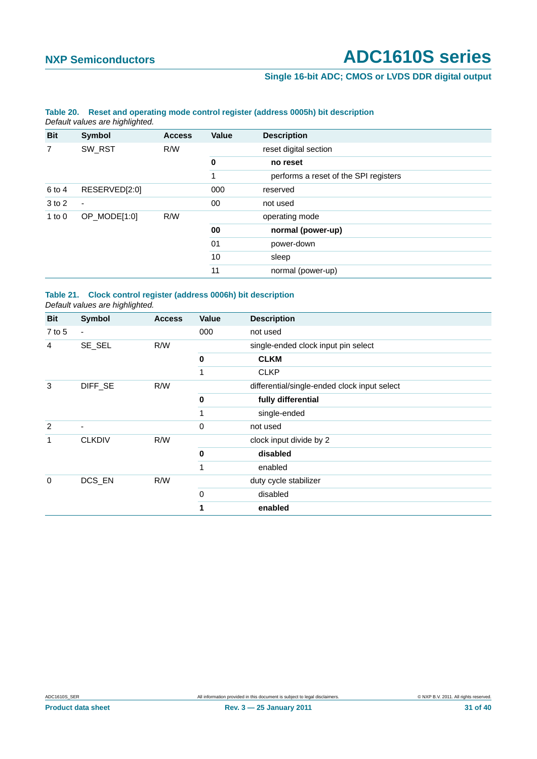#### **Single 16-bit ADC; CMOS or LVDS DDR digital output**

|            | Default values are highlighted. |               |       |                                       |
|------------|---------------------------------|---------------|-------|---------------------------------------|
| <b>Bit</b> | Symbol                          | <b>Access</b> | Value | <b>Description</b>                    |
| 7          | SW_RST                          | R/W           |       | reset digital section                 |
|            |                                 |               | 0     | no reset                              |
|            |                                 |               | 1     | performs a reset of the SPI registers |
| 6 to 4     | RESERVED[2:0]                   |               | 000   | reserved                              |
| 3 to 2     | $\blacksquare$                  |               | 00    | not used                              |
| 1 to $0$   | OP_MODE[1:0]                    | R/W           |       | operating mode                        |
|            |                                 |               | 00    | normal (power-up)                     |
|            |                                 |               | 01    | power-down                            |
|            |                                 |               | 10    | sleep                                 |
|            |                                 |               | 11    | normal (power-up)                     |

## <span id="page-30-0"></span>**Table 20. Reset and operating mode control register (address 0005h) bit description**

#### <span id="page-30-1"></span>**Table 21. Clock control register (address 0006h) bit description** *Default values are highlighted.*

| <b>Bit</b>  | <b>Symbol</b>  | <b>Access</b> | Value | <b>Description</b>                           |
|-------------|----------------|---------------|-------|----------------------------------------------|
| $7$ to 5    | $\blacksquare$ |               | 000   | not used                                     |
| 4           | SE_SEL         | R/W           |       | single-ended clock input pin select          |
|             |                |               | 0     | <b>CLKM</b>                                  |
|             |                |               | 1     | <b>CLKP</b>                                  |
| 3           | DIFF_SE        | R/W           |       | differential/single-ended clock input select |
|             |                |               | 0     | fully differential                           |
|             |                |               | 1     | single-ended                                 |
| 2           | ۰              |               | 0     | not used                                     |
| 1           | <b>CLKDIV</b>  | R/W           |       | clock input divide by 2                      |
|             |                |               | 0     | disabled                                     |
|             |                |               | 1     | enabled                                      |
| $\mathbf 0$ | DCS_EN         | R/W           |       | duty cycle stabilizer                        |
|             |                |               | 0     | disabled                                     |
|             |                |               | 1     | enabled                                      |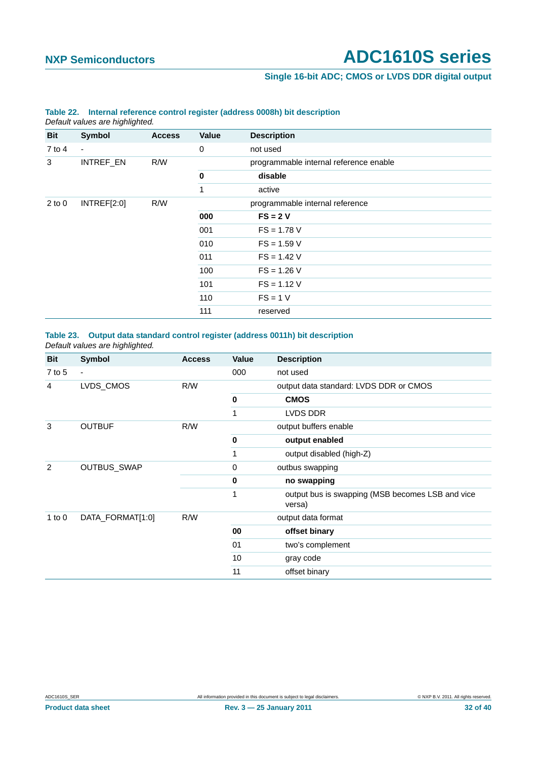#### **Single 16-bit ADC; CMOS or LVDS DDR digital output**

|            | Default values are highlighted. |               |              |                                        |
|------------|---------------------------------|---------------|--------------|----------------------------------------|
| Bit        | Symbol                          | <b>Access</b> | Value        | <b>Description</b>                     |
| $7$ to 4   | $\blacksquare$                  |               | 0            | not used                               |
| 3          | INTREF_EN                       | R/W           |              | programmable internal reference enable |
|            |                                 |               | $\bf{0}$     | disable                                |
|            |                                 |               | $\mathbf{1}$ | active                                 |
| $2$ to $0$ | INTREF[2:0]                     | R/W           |              | programmable internal reference        |
|            |                                 |               | 000          | $FS = 2V$                              |
|            |                                 |               | 001          | $FS = 1.78 V$                          |
|            |                                 |               | 010          | $FS = 1.59 V$                          |
|            |                                 |               | 011          | $FS = 1.42 V$                          |
|            |                                 |               | 100          | $FS = 1.26 V$                          |
|            |                                 |               | 101          | $FS = 1.12 V$                          |
|            |                                 |               | 110          | $FS = 1 V$                             |
|            |                                 |               | 111          | reserved                               |

## <span id="page-31-1"></span>**Table 22. Internal reference control register (address 0008h) bit description**

<span id="page-31-0"></span>**Table 23. Output data standard control register (address 0011h) bit description** *Default values are highlighted.*

| <b>Bit</b>     | <b>Symbol</b>            | <b>Access</b> | Value       | <b>Description</b>                                         |
|----------------|--------------------------|---------------|-------------|------------------------------------------------------------|
| $7$ to 5       | $\overline{\phantom{a}}$ |               | 000         | not used                                                   |
| 4              | LVDS_CMOS                | R/W           |             | output data standard: LVDS DDR or CMOS                     |
|                |                          |               | $\mathbf 0$ | <b>CMOS</b>                                                |
|                |                          |               | 1           | LVDS DDR                                                   |
| 3              | <b>OUTBUF</b>            | R/W           |             | output buffers enable                                      |
|                |                          |               | $\mathbf 0$ | output enabled                                             |
|                |                          |               | 1           | output disabled (high-Z)                                   |
| $\overline{2}$ | OUTBUS_SWAP              |               | $\mathbf 0$ | outbus swapping                                            |
|                |                          |               | 0           | no swapping                                                |
|                |                          |               | 1           | output bus is swapping (MSB becomes LSB and vice<br>versa) |
| 1 to $0$       | DATA_FORMAT[1:0]         | R/W           |             | output data format                                         |
|                |                          |               | 00          | offset binary                                              |
|                |                          |               | 01          | two's complement                                           |
|                |                          |               | 10          | gray code                                                  |
|                |                          |               | 11          | offset binary                                              |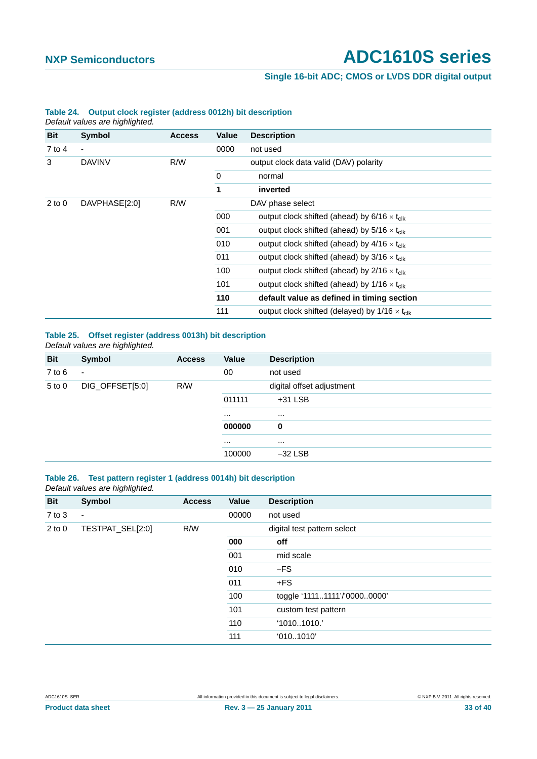#### **Single 16-bit ADC; CMOS or LVDS DDR digital output**

|            | Default values are highlighted. |               |       |                                                                |
|------------|---------------------------------|---------------|-------|----------------------------------------------------------------|
| <b>Bit</b> | Symbol                          | <b>Access</b> | Value | <b>Description</b>                                             |
| 7 to 4     | $\overline{\phantom{a}}$        |               | 0000  | not used                                                       |
| 3          | <b>DAVINV</b>                   | R/W           |       | output clock data valid (DAV) polarity                         |
|            |                                 |               | 0     | normal                                                         |
|            |                                 |               | 1     | inverted                                                       |
| $2$ to $0$ | DAVPHASE[2:0]                   | R/W           |       | DAV phase select                                               |
|            |                                 |               | 000   | output clock shifted (ahead) by $6/16 \times t_{\text{clk}}$   |
|            |                                 |               | 001   | output clock shifted (ahead) by $5/16 \times t_{\text{clk}}$   |
|            |                                 |               | 010   | output clock shifted (ahead) by $4/16 \times t_{\text{clk}}$   |
|            |                                 |               | 011   | output clock shifted (ahead) by $3/16 \times t_{\rm{clk}}$     |
|            |                                 |               | 100   | output clock shifted (ahead) by $2/16 \times t_{\text{clk}}$   |
|            |                                 |               | 101   | output clock shifted (ahead) by $1/16 \times t_{\text{clk}}$   |
|            |                                 |               | 110   | default value as defined in timing section                     |
|            |                                 |               | 111   | output clock shifted (delayed) by $1/16 \times t_{\text{clk}}$ |

#### **Table 24. Output clock register (address 0012h) bit description**

#### <span id="page-32-0"></span>**Table 25. Offset register (address 0013h) bit description** *Default values are highlighted.*

| Bit        | Symbol                   | <b>Access</b> | Value    | <b>Description</b>        |
|------------|--------------------------|---------------|----------|---------------------------|
| $7$ to $6$ | $\overline{\phantom{a}}$ |               | 00       | not used                  |
| $5$ to $0$ | DIG_OFFSET[5:0]          | R/W           |          | digital offset adjustment |
|            |                          |               | 011111   | $+31$ LSB                 |
|            |                          |               | $\cdots$ | $\cdots$                  |
|            |                          |               | 000000   | 0                         |
|            |                          |               | $\cdots$ | $\cdots$                  |
|            |                          |               | 100000   | $-32$ LSB                 |
|            |                          |               |          |                           |

#### <span id="page-32-1"></span>**Table 26. Test pattern register 1 (address 0014h) bit description** *Default values are highlighted.*

| <b>Bit</b> | Symbol           | <b>Access</b> | <b>Value</b> | <b>Description</b>           |
|------------|------------------|---------------|--------------|------------------------------|
| $7$ to $3$ | $\blacksquare$   |               | 00000        | not used                     |
| $2$ to $0$ | TESTPAT_SEL[2:0] | R/W           |              | digital test pattern select  |
|            |                  |               | 000          | off                          |
|            |                  |               | 001          | mid scale                    |
|            |                  |               | 010          | $-FS$                        |
|            |                  |               | 011          | $+FS$                        |
|            |                  |               | 100          | toggle '11111111'/'00000000' |
|            |                  |               | 101          | custom test pattern          |
|            |                  |               | 110          | '10101010.'                  |
|            |                  |               | 111          | '0101010'                    |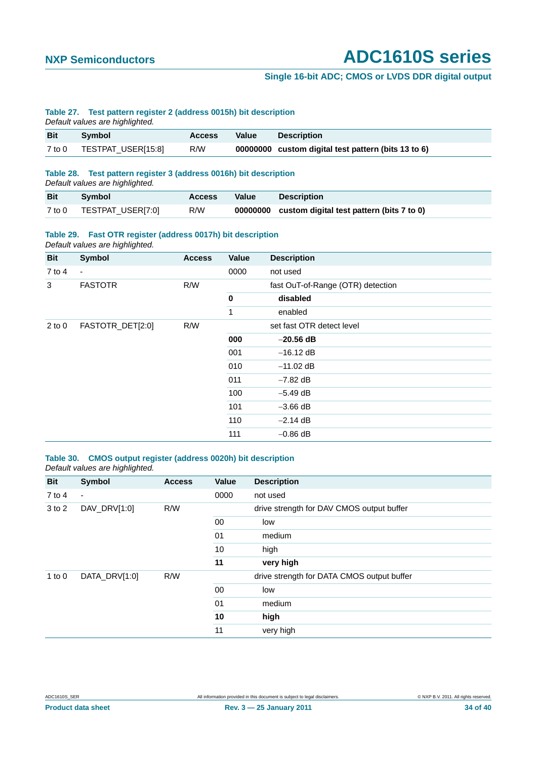#### **Single 16-bit ADC; CMOS or LVDS DDR digital output**

#### <span id="page-33-2"></span>**Table 27. Test pattern register 2 (address 0015h) bit description**

*Default values are highlighted.*

| <b>Bit</b> | Symbol             | <b>Access</b> | Value | <b>Description</b>                                  |
|------------|--------------------|---------------|-------|-----------------------------------------------------|
| $7$ to $0$ | TESTPAT_USER[15:8] | R/W           |       | 00000000 custom digital test pattern (bits 13 to 6) |

#### <span id="page-33-3"></span>**Table 28. Test pattern register 3 (address 0016h) bit description**

*Default values are highlighted.*

| <b>Bit</b> | Symbol            | <b>Access</b> | <b>Value</b> | <b>Description</b>                                 |
|------------|-------------------|---------------|--------------|----------------------------------------------------|
| 7 to 0     | TESTPAT_USER[7:0] | R/W           |              | 00000000 custom digital test pattern (bits 7 to 0) |

#### <span id="page-33-1"></span>**Table 29. Fast OTR register (address 0017h) bit description**

*Default values are highlighted.*

| <b>Bit</b> | Symbol           | <b>Access</b> | Value       | <b>Description</b>                |
|------------|------------------|---------------|-------------|-----------------------------------|
| $7$ to 4   | $\blacksquare$   |               | 0000        | not used                          |
| 3          | <b>FASTOTR</b>   | R/W           |             | fast OuT-of-Range (OTR) detection |
|            |                  |               | $\mathbf 0$ | disabled                          |
|            |                  |               | 1           | enabled                           |
| $2$ to $0$ | FASTOTR_DET[2:0] | R/W           |             | set fast OTR detect level         |
|            |                  |               | 000         | $-20.56$ dB                       |
|            |                  |               | 001         | $-16.12$ dB                       |
|            |                  |               | 010         | $-11.02$ dB                       |
|            |                  |               | 011         | $-7.82$ dB                        |
|            |                  |               | 100         | $-5.49$ dB                        |
|            |                  |               | 101         | $-3.66$ dB                        |
|            |                  |               | 110         | $-2.14$ dB                        |
|            |                  |               | 111         | $-0.86$ dB                        |

#### <span id="page-33-0"></span>**Table 30. CMOS output register (address 0020h) bit description** *Default values are highlighted.*

| <b>Bit</b> | Symbol         | <b>Access</b> | <b>Value</b>                                                                                                                                                           | <b>Description</b>                        |  |
|------------|----------------|---------------|------------------------------------------------------------------------------------------------------------------------------------------------------------------------|-------------------------------------------|--|
| $7$ to 4   | $\blacksquare$ |               | 0000                                                                                                                                                                   | not used                                  |  |
| 3 to 2     | DAV_DRV[1:0]   | R/W           |                                                                                                                                                                        | drive strength for DAV CMOS output buffer |  |
|            |                |               | 00<br>low<br>01<br>medium<br>10<br>high<br>11<br>very high<br>drive strength for DATA CMOS output buffer<br>00<br>low<br>01<br>medium<br>10<br>high<br>11<br>very high |                                           |  |
|            |                |               |                                                                                                                                                                        |                                           |  |
|            |                |               |                                                                                                                                                                        |                                           |  |
|            |                |               |                                                                                                                                                                        |                                           |  |
| 1 to $0$   | DATA_DRV[1:0]  | R/W           |                                                                                                                                                                        |                                           |  |
|            |                |               |                                                                                                                                                                        |                                           |  |
|            |                |               |                                                                                                                                                                        |                                           |  |
|            |                |               |                                                                                                                                                                        |                                           |  |
|            |                |               |                                                                                                                                                                        |                                           |  |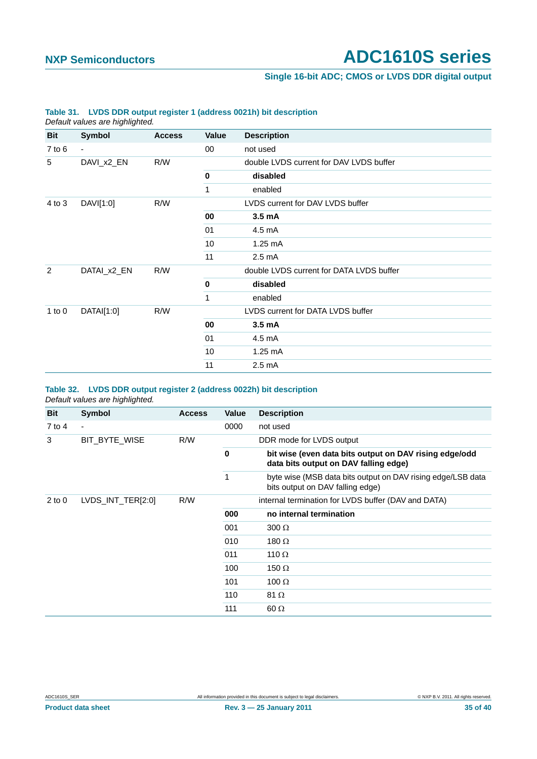#### **Single 16-bit ADC; CMOS or LVDS DDR digital output**

|            | Default values are highlighted. |               |              |                                          |  |  |
|------------|---------------------------------|---------------|--------------|------------------------------------------|--|--|
| <b>Bit</b> | <b>Symbol</b>                   | <b>Access</b> | <b>Value</b> | <b>Description</b>                       |  |  |
| $7$ to $6$ | $\blacksquare$                  |               | 00           | not used                                 |  |  |
| 5          | DAVI_x2_EN                      | R/W           |              | double LVDS current for DAV LVDS buffer  |  |  |
|            |                                 |               | 0            | disabled                                 |  |  |
|            |                                 |               | 1            | enabled                                  |  |  |
| 4 to 3     | DAVI[1:0]                       | R/W           |              | LVDS current for DAV LVDS buffer         |  |  |
|            |                                 |               | 00           | 3.5 <sub>m</sub> A                       |  |  |
|            |                                 |               | 01           | 4.5 mA                                   |  |  |
|            |                                 |               | 10           | $1.25 \text{ mA}$                        |  |  |
|            |                                 |               | 11           | $2.5 \text{ mA}$                         |  |  |
| 2          | DATAI_x2_EN                     | R/W           |              | double LVDS current for DATA LVDS buffer |  |  |
|            |                                 |               | 0            | disabled                                 |  |  |
|            |                                 |               | 1            | enabled                                  |  |  |
| 1 to $0$   | DATAI[1:0]                      | R/W           |              | LVDS current for DATA LVDS buffer        |  |  |
|            |                                 |               | 00           | 3.5 mA                                   |  |  |
|            |                                 |               | 01           | $4.5 \text{ mA}$                         |  |  |
|            |                                 |               | 10           | $1.25 \text{ mA}$                        |  |  |
|            |                                 |               | 11           | $2.5 \text{ mA}$                         |  |  |
|            |                                 |               |              |                                          |  |  |

#### <span id="page-34-1"></span>**Table 31. LVDS DDR output register 1 (address 0021h) bit description**

#### <span id="page-34-0"></span>**Table 32. LVDS DDR output register 2 (address 0022h) bit description** *Default values are highlighted.*

| Bit        | Symbol                   | <b>Access</b> | Value | <b>Description</b>                                                                              |
|------------|--------------------------|---------------|-------|-------------------------------------------------------------------------------------------------|
| 7 to 4     | $\overline{\phantom{a}}$ |               | 0000  | not used                                                                                        |
| 3          | BIT BYTE WISE            | R/W           |       | DDR mode for LVDS output                                                                        |
|            |                          |               | 0     | bit wise (even data bits output on DAV rising edge/odd<br>data bits output on DAV falling edge) |
|            |                          |               | 1     | byte wise (MSB data bits output on DAV rising edge/LSB data<br>bits output on DAV falling edge) |
| $2$ to $0$ | LVDS_INT_TER[2:0]        | R/W           |       | internal termination for LVDS buffer (DAV and DATA)                                             |
|            |                          |               | 000   | no internal termination                                                                         |
|            |                          |               | 001   | $300 \Omega$                                                                                    |
|            |                          |               | 010   | 180 $\Omega$                                                                                    |
|            |                          |               | 011   | 110 $\Omega$                                                                                    |
|            |                          |               | 100   | 150 $\Omega$                                                                                    |
|            |                          |               | 101   | 100 $\Omega$                                                                                    |
|            |                          |               | 110   | 81 $\Omega$                                                                                     |
|            |                          |               | 111   | $60 \Omega$                                                                                     |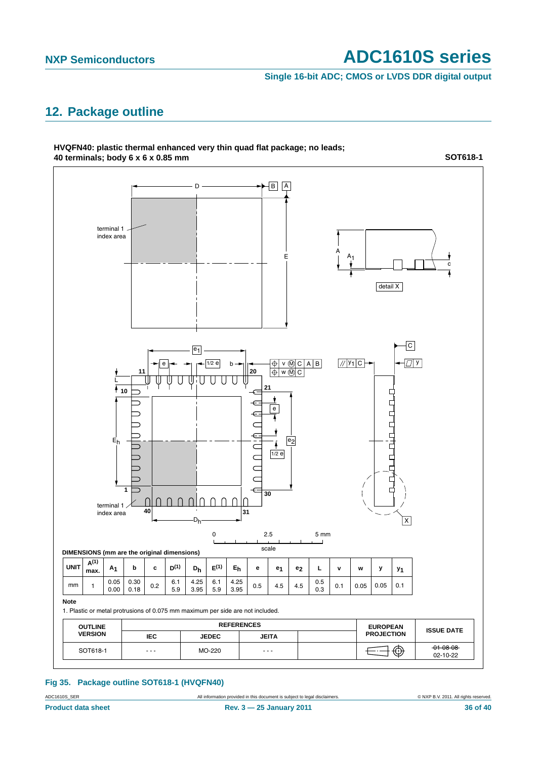**Single 16-bit ADC; CMOS or LVDS DDR digital output**

#### <span id="page-35-1"></span>**12. Package outline**



#### <span id="page-35-0"></span>**Fig 35. Package outline SOT618-1 (HVQFN40)**

ADC1610S\_SER All information provided in this document is subject to legal disclaimers. 
© NXP B.V. 2011. All rights reserved.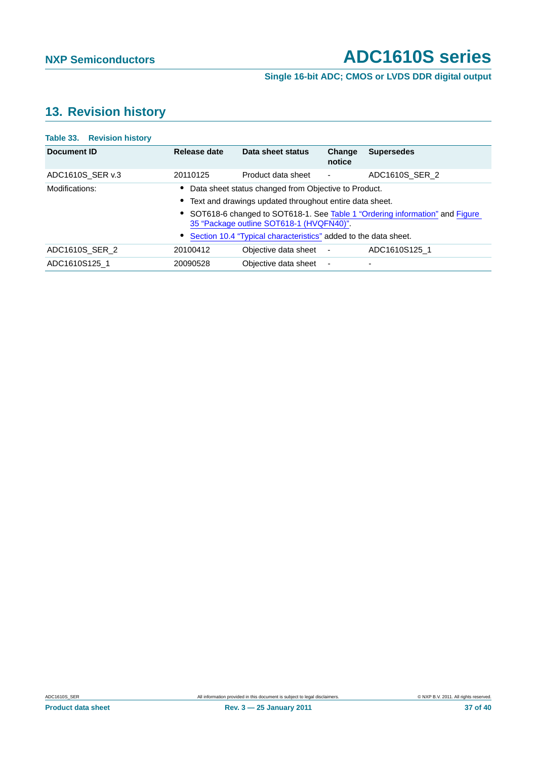#### **Single 16-bit ADC; CMOS or LVDS DDR digital output**

## <span id="page-36-0"></span>**13. Revision history**

| Table 33. Revision history |                                                                                                                           |                      |                          |                          |  |  |  |
|----------------------------|---------------------------------------------------------------------------------------------------------------------------|----------------------|--------------------------|--------------------------|--|--|--|
| Document ID                | Release date                                                                                                              | Data sheet status    | Change<br>notice         | <b>Supersedes</b>        |  |  |  |
| ADC1610S SER v.3           | 20110125                                                                                                                  | Product data sheet   | $\overline{\phantom{a}}$ | ADC1610S SER 2           |  |  |  |
| Modifications:             | Data sheet status changed from Objective to Product.                                                                      |                      |                          |                          |  |  |  |
|                            | • Text and drawings updated throughout entire data sheet.                                                                 |                      |                          |                          |  |  |  |
|                            | • SOT618-6 changed to SOT618-1. See Table 1 "Ordering information" and Figure<br>35 "Package outline SOT618-1 (HVQFN40)". |                      |                          |                          |  |  |  |
|                            | Section 10.4 "Typical characteristics" added to the data sheet.                                                           |                      |                          |                          |  |  |  |
| ADC1610S SER 2             | 20100412                                                                                                                  | Objective data sheet | $\overline{\phantom{a}}$ | ADC1610S125 1            |  |  |  |
| ADC1610S125 1              | 20090528                                                                                                                  | Objective data sheet | $\overline{\phantom{a}}$ | $\overline{\phantom{0}}$ |  |  |  |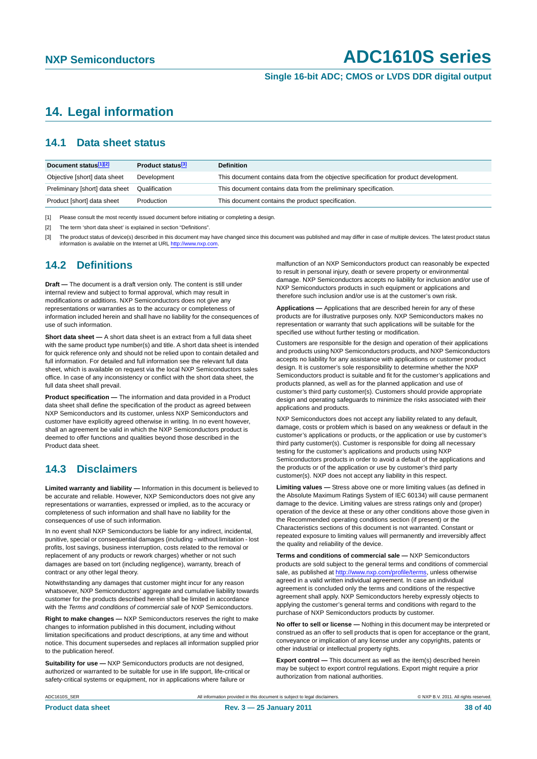**Single 16-bit ADC; CMOS or LVDS DDR digital output**

#### <span id="page-37-0"></span>**14. Legal information**

#### <span id="page-37-1"></span>**14.1 Data sheet status**

| Document status[1][2]          | Product status <sup>[3]</sup> | <b>Definition</b>                                                                     |
|--------------------------------|-------------------------------|---------------------------------------------------------------------------------------|
| Objective [short] data sheet   | Development                   | This document contains data from the objective specification for product development. |
| Preliminary [short] data sheet | Qualification                 | This document contains data from the preliminary specification.                       |
| Product [short] data sheet     | Production                    | This document contains the product specification.                                     |

[1] Please consult the most recently issued document before initiating or completing a design.

[2] The term 'short data sheet' is explained in section "Definitions"

[3] The product status of device(s) described in this document may have changed since this document was published and may differ in case of multiple devices. The latest product status<br>information is available on the Intern

#### <span id="page-37-2"></span>**14.2 Definitions**

**Draft —** The document is a draft version only. The content is still under internal review and subject to formal approval, which may result in modifications or additions. NXP Semiconductors does not give any representations or warranties as to the accuracy or completeness of information included herein and shall have no liability for the consequences of use of such information.

**Short data sheet —** A short data sheet is an extract from a full data sheet with the same product type number(s) and title. A short data sheet is intended for quick reference only and should not be relied upon to contain detailed and full information. For detailed and full information see the relevant full data sheet, which is available on request via the local NXP Semiconductors sales office. In case of any inconsistency or conflict with the short data sheet, the full data sheet shall prevail.

**Product specification —** The information and data provided in a Product data sheet shall define the specification of the product as agreed between NXP Semiconductors and its customer, unless NXP Semiconductors and customer have explicitly agreed otherwise in writing. In no event however, shall an agreement be valid in which the NXP Semiconductors product is deemed to offer functions and qualities beyond those described in the Product data sheet.

#### <span id="page-37-3"></span>**14.3 Disclaimers**

**Limited warranty and liability —** Information in this document is believed to be accurate and reliable. However, NXP Semiconductors does not give any representations or warranties, expressed or implied, as to the accuracy or completeness of such information and shall have no liability for the consequences of use of such information.

In no event shall NXP Semiconductors be liable for any indirect, incidental, punitive, special or consequential damages (including - without limitation - lost profits, lost savings, business interruption, costs related to the removal or replacement of any products or rework charges) whether or not such damages are based on tort (including negligence), warranty, breach of contract or any other legal theory.

Notwithstanding any damages that customer might incur for any reason whatsoever, NXP Semiconductors' aggregate and cumulative liability towards customer for the products described herein shall be limited in accordance with the *Terms and conditions of commercial sale* of NXP Semiconductors.

**Right to make changes —** NXP Semiconductors reserves the right to make changes to information published in this document, including without limitation specifications and product descriptions, at any time and without notice. This document supersedes and replaces all information supplied prior to the publication hereof.

**Suitability for use —** NXP Semiconductors products are not designed, authorized or warranted to be suitable for use in life support, life-critical or safety-critical systems or equipment, nor in applications where failure or

malfunction of an NXP Semiconductors product can reasonably be expected to result in personal injury, death or severe property or environmental damage. NXP Semiconductors accepts no liability for inclusion and/or use of NXP Semiconductors products in such equipment or applications and therefore such inclusion and/or use is at the customer's own risk.

**Applications —** Applications that are described herein for any of these products are for illustrative purposes only. NXP Semiconductors makes no representation or warranty that such applications will be suitable for the specified use without further testing or modification.

Customers are responsible for the design and operation of their applications and products using NXP Semiconductors products, and NXP Semiconductors accepts no liability for any assistance with applications or customer product design. It is customer's sole responsibility to determine whether the NXP Semiconductors product is suitable and fit for the customer's applications and products planned, as well as for the planned application and use of customer's third party customer(s). Customers should provide appropriate design and operating safeguards to minimize the risks associated with their applications and products.

NXP Semiconductors does not accept any liability related to any default, damage, costs or problem which is based on any weakness or default in the customer's applications or products, or the application or use by customer's third party customer(s). Customer is responsible for doing all necessary testing for the customer's applications and products using NXP Semiconductors products in order to avoid a default of the applications and the products or of the application or use by customer's third party customer(s). NXP does not accept any liability in this respect.

**Limiting values —** Stress above one or more limiting values (as defined in the Absolute Maximum Ratings System of IEC 60134) will cause permanent damage to the device. Limiting values are stress ratings only and (proper) operation of the device at these or any other conditions above those given in the Recommended operating conditions section (if present) or the Characteristics sections of this document is not warranted. Constant or repeated exposure to limiting values will permanently and irreversibly affect the quality and reliability of the device.

**Terms and conditions of commercial sale —** NXP Semiconductors products are sold subject to the general terms and conditions of commercial sale, as published at<http://www.nxp.com/profile/terms>, unless otherwise agreed in a valid written individual agreement. In case an individual agreement is concluded only the terms and conditions of the respective agreement shall apply. NXP Semiconductors hereby expressly objects to applying the customer's general terms and conditions with regard to the purchase of NXP Semiconductors products by customer.

**No offer to sell or license —** Nothing in this document may be interpreted or construed as an offer to sell products that is open for acceptance or the grant, conveyance or implication of any license under any copyrights, patents or other industrial or intellectual property rights.

**Export control —** This document as well as the item(s) described herein may be subject to export control regulations. Export might require a prior authorization from national authorities.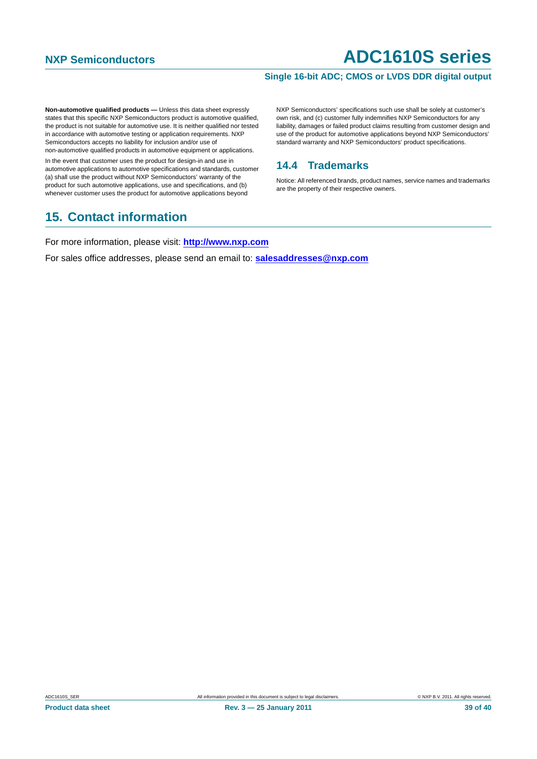#### **Single 16-bit ADC; CMOS or LVDS DDR digital output**

**Non-automotive qualified products — Unless this data sheet expressly** states that this specific NXP Semiconductors product is automotive qualified, the product is not suitable for automotive use. It is neither qualified nor tested in accordance with automotive testing or application requirements. NXP Semiconductors accepts no liability for inclusion and/or use of non-automotive qualified products in automotive equipment or applications.

In the event that customer uses the product for design-in and use in automotive applications to automotive specifications and standards, customer (a) shall use the product without NXP Semiconductors' warranty of the product for such automotive applications, use and specifications, and (b) whenever customer uses the product for automotive applications beyond

## <span id="page-38-1"></span>**15. Contact information**

NXP Semiconductors' specifications such use shall be solely at customer's own risk, and (c) customer fully indemnifies NXP Semiconductors for any liability, damages or failed product claims resulting from customer design and use of the product for automotive applications beyond NXP Semiconductors' standard warranty and NXP Semiconductors' product specifications.

#### <span id="page-38-0"></span>**14.4 Trademarks**

Notice: All referenced brands, product names, service names and trademarks are the property of their respective owners.

For more information, please visit: **http://www.nxp.com**

For sales office addresses, please send an email to: **salesaddresses@nxp.com**